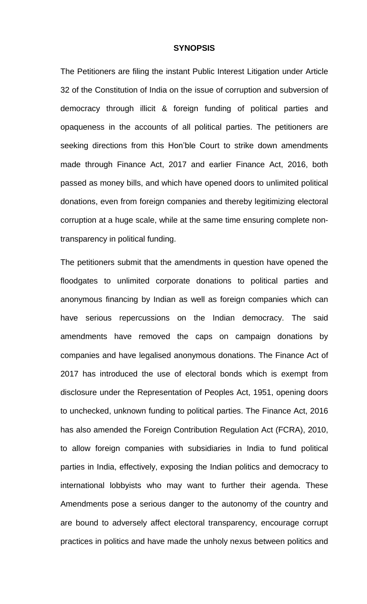#### **SYNOPSIS**

The Petitioners are filing the instant Public Interest Litigation under Article 32 of the Constitution of India on the issue of corruption and subversion of democracy through illicit & foreign funding of political parties and opaqueness in the accounts of all political parties. The petitioners are seeking directions from this Hon'ble Court to strike down amendments made through Finance Act, 2017 and earlier Finance Act, 2016, both passed as money bills, and which have opened doors to unlimited political donations, even from foreign companies and thereby legitimizing electoral corruption at a huge scale, while at the same time ensuring complete nontransparency in political funding.

The petitioners submit that the amendments in question have opened the floodgates to unlimited corporate donations to political parties and anonymous financing by Indian as well as foreign companies which can have serious repercussions on the Indian democracy. The said amendments have removed the caps on campaign donations by companies and have legalised anonymous donations. The Finance Act of 2017 has introduced the use of electoral bonds which is exempt from disclosure under the Representation of Peoples Act, 1951, opening doors to unchecked, unknown funding to political parties. The Finance Act, 2016 has also amended the Foreign Contribution Regulation Act (FCRA), 2010, to allow foreign companies with subsidiaries in India to fund political parties in India, effectively, exposing the Indian politics and democracy to international lobbyists who may want to further their agenda. These Amendments pose a serious danger to the autonomy of the country and are bound to adversely affect electoral transparency, encourage corrupt practices in politics and have made the unholy nexus between politics and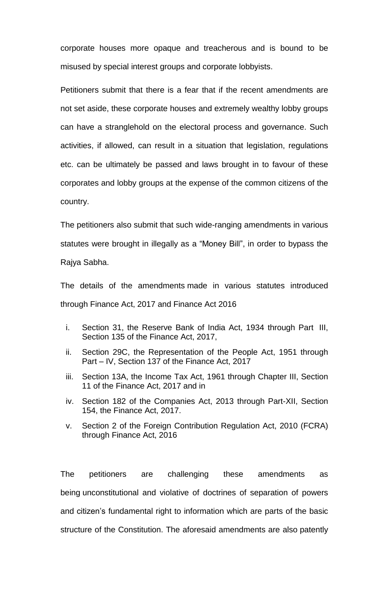corporate houses more opaque and treacherous and is bound to be misused by special interest groups and corporate lobbyists.

Petitioners submit that there is a fear that if the recent amendments are not set aside, these corporate houses and extremely wealthy lobby groups can have a stranglehold on the electoral process and governance. Such activities, if allowed, can result in a situation that legislation, regulations etc. can be ultimately be passed and laws brought in to favour of these corporates and lobby groups at the expense of the common citizens of the country.

The petitioners also submit that such wide-ranging amendments in various statutes were brought in illegally as a "Money Bill", in order to bypass the Rajya Sabha.

The details of the amendments made in various statutes introduced through Finance Act, 2017 and Finance Act 2016

- i. Section 31, the Reserve Bank of India Act, 1934 through Part III, Section 135 of the Finance Act, 2017,
- ii. Section 29C, the Representation of the People Act, 1951 through Part – IV, Section 137 of the Finance Act, 2017
- iii. Section 13A, the Income Tax Act, 1961 through Chapter III, Section 11 of the Finance Act, 2017 and in
- iv. Section 182 of the Companies Act, 2013 through Part-XII, Section 154, the Finance Act, 2017.
- v. Section 2 of the Foreign Contribution Regulation Act, 2010 (FCRA) through Finance Act, 2016

The petitioners are challenging these amendments as being unconstitutional and violative of doctrines of separation of powers and citizen's fundamental right to information which are parts of the basic structure of the Constitution. The aforesaid amendments are also patently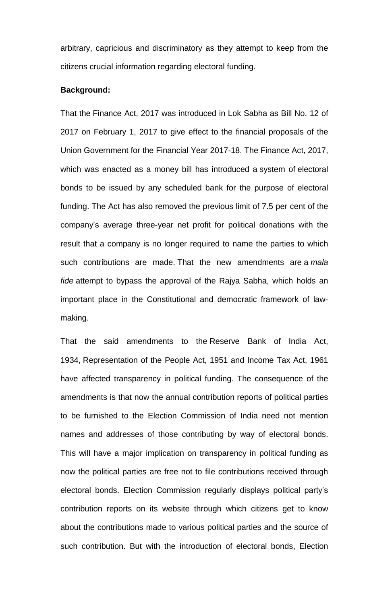arbitrary, capricious and discriminatory as they attempt to keep from the citizens crucial information regarding electoral funding.

#### **Background:**

That the Finance Act, 2017 was introduced in Lok Sabha as Bill No. 12 of 2017 on February 1, 2017 to give effect to the financial proposals of the Union Government for the Financial Year 2017-18. The Finance Act, 2017, which was enacted as a money bill has introduced a system of electoral bonds to be issued by any scheduled bank for the purpose of electoral funding. The Act has also removed the previous limit of 7.5 per cent of the company's average three-year net profit for political donations with the result that a company is no longer required to name the parties to which such contributions are made. That the new amendments are a *mala fide* attempt to bypass the approval of the Rajya Sabha, which holds an important place in the Constitutional and democratic framework of lawmaking.

That the said amendments to the Reserve Bank of India Act, 1934, Representation of the People Act, 1951 and Income Tax Act, 1961 have affected transparency in political funding. The consequence of the amendments is that now the annual contribution reports of political parties to be furnished to the Election Commission of India need not mention names and addresses of those contributing by way of electoral bonds. This will have a major implication on transparency in political funding as now the political parties are free not to file contributions received through electoral bonds. Election Commission regularly displays political party's contribution reports on its website through which citizens get to know about the contributions made to various political parties and the source of such contribution. But with the introduction of electoral bonds, Election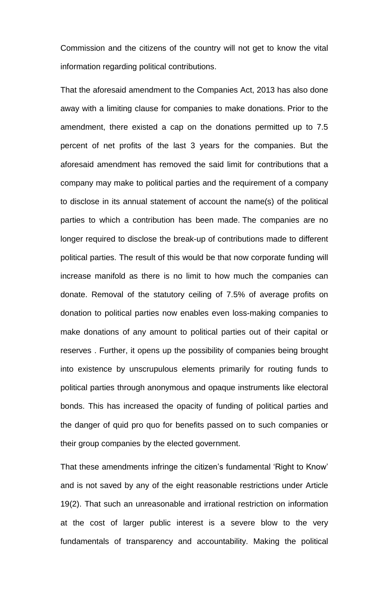Commission and the citizens of the country will not get to know the vital information regarding political contributions.

That the aforesaid amendment to the Companies Act, 2013 has also done away with a limiting clause for companies to make donations. Prior to the amendment, there existed a cap on the donations permitted up to 7.5 percent of net profits of the last 3 years for the companies. But the aforesaid amendment has removed the said limit for contributions that a company may make to political parties and the requirement of a company to disclose in its annual statement of account the name(s) of the political parties to which a contribution has been made. The companies are no longer required to disclose the break-up of contributions made to different political parties. The result of this would be that now corporate funding will increase manifold as there is no limit to how much the companies can donate. Removal of the statutory ceiling of 7.5% of average profits on donation to political parties now enables even loss-making companies to make donations of any amount to political parties out of their capital or reserves . Further, it opens up the possibility of companies being brought into existence by unscrupulous elements primarily for routing funds to political parties through anonymous and opaque instruments like electoral bonds. This has increased the opacity of funding of political parties and the danger of quid pro quo for benefits passed on to such companies or their group companies by the elected government.

That these amendments infringe the citizen's fundamental 'Right to Know' and is not saved by any of the eight reasonable restrictions under Article 19(2). That such an unreasonable and irrational restriction on information at the cost of larger public interest is a severe blow to the very fundamentals of transparency and accountability. Making the political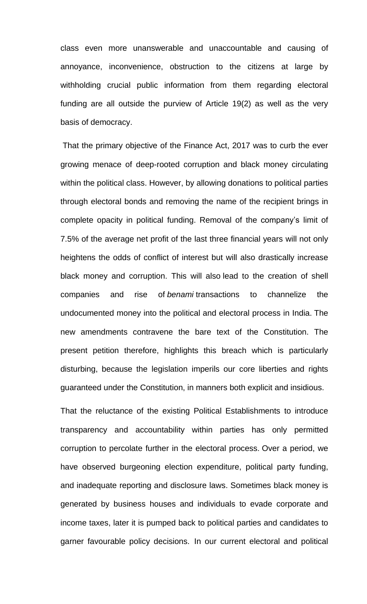class even more unanswerable and unaccountable and causing of annoyance, inconvenience, obstruction to the citizens at large by withholding crucial public information from them regarding electoral funding are all outside the purview of Article 19(2) as well as the very basis of democracy.

That the primary objective of the Finance Act, 2017 was to curb the ever growing menace of deep-rooted corruption and black money circulating within the political class. However, by allowing donations to political parties through electoral bonds and removing the name of the recipient brings in complete opacity in political funding. Removal of the company's limit of 7.5% of the average net profit of the last three financial years will not only heightens the odds of conflict of interest but will also drastically increase black money and corruption. This will also lead to the creation of shell companies and rise of *benami* transactions to channelize the undocumented money into the political and electoral process in India. The new amendments contravene the bare text of the Constitution. The present petition therefore, highlights this breach which is particularly disturbing, because the legislation imperils our core liberties and rights guaranteed under the Constitution, in manners both explicit and insidious.

That the reluctance of the existing Political Establishments to introduce transparency and accountability within parties has only permitted corruption to percolate further in the electoral process. Over a period, we have observed burgeoning election expenditure, political party funding, and inadequate reporting and disclosure laws. Sometimes black money is generated by business houses and individuals to evade corporate and income taxes, later it is pumped back to political parties and candidates to garner favourable policy decisions. In our current electoral and political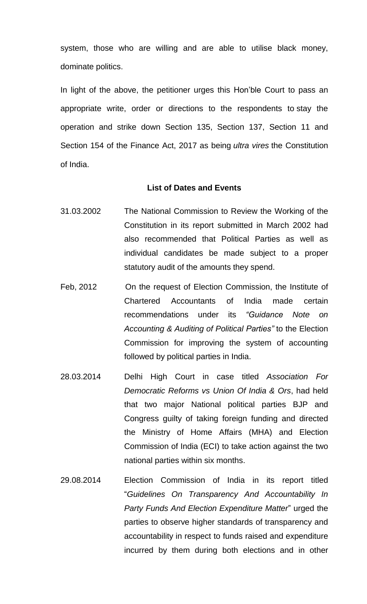system, those who are willing and are able to utilise black money, dominate politics.

In light of the above, the petitioner urges this Hon'ble Court to pass an appropriate write, order or directions to the respondents to stay the operation and strike down Section 135, Section 137, Section 11 and Section 154 of the Finance Act, 2017 as being *ultra vires* the Constitution of India.

#### **List of Dates and Events**

- 31.03.2002 The National Commission to Review the Working of the Constitution in its report submitted in March 2002 had also recommended that Political Parties as well as individual candidates be made subject to a proper statutory audit of the amounts they spend.
- Feb, 2012 On the request of Election Commission, the Institute of Chartered Accountants of India made certain recommendations under its *"Guidance Note on Accounting & Auditing of Political Parties"* to the Election Commission for improving the system of accounting followed by political parties in India.
- 28.03.2014 Delhi High Court in case titled *Association For Democratic Reforms vs Union Of India & Ors*, had held that two major National political parties BJP and Congress guilty of taking foreign funding and directed the Ministry of Home Affairs (MHA) and Election Commission of India (ECI) to take action against the two national parties within six months.
- 29.08.2014 Election Commission of India in its report titled "*Guidelines On Transparency And Accountability In Party Funds And Election Expenditure Matter*" urged the parties to observe higher standards of transparency and accountability in respect to funds raised and expenditure incurred by them during both elections and in other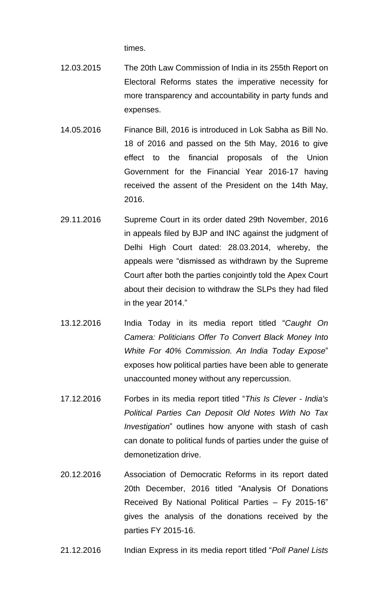times.

- 12.03.2015 The 20th Law Commission of India in its 255th Report on Electoral Reforms states the imperative necessity for more transparency and accountability in party funds and expenses.
- 14.05.2016 Finance Bill, 2016 is introduced in Lok Sabha as Bill No. 18 of 2016 and passed on the 5th May, 2016 to give effect to the financial proposals of the Union Government for the Financial Year 2016-17 having received the assent of the President on the 14th May, 2016.
- 29.11.2016 Supreme Court in its order dated 29th November, 2016 in appeals filed by BJP and INC against the judgment of Delhi High Court dated: 28.03.2014, whereby, the appeals were "dismissed as withdrawn by the Supreme Court after both the parties conjointly told the Apex Court about their decision to withdraw the SLPs they had filed in the year 2014."
- 13.12.2016 India Today in its media report titled "*Caught On Camera: Politicians Offer To Convert Black Money Into White For 40% Commission. An India Today Expose*" exposes how political parties have been able to generate unaccounted money without any repercussion.
- 17.12.2016 Forbes in its media report titled "*This Is Clever - India's Political Parties Can Deposit Old Notes With No Tax Investigation*" outlines how anyone with stash of cash can donate to political funds of parties under the guise of demonetization drive.
- 20.12.2016 Association of Democratic Reforms in its report dated 20th December, 2016 titled "Analysis Of Donations Received By National Political Parties – Fy 2015-16" gives the analysis of the donations received by the parties FY 2015-16.

21.12.2016 Indian Express in its media report titled "*Poll Panel Lists*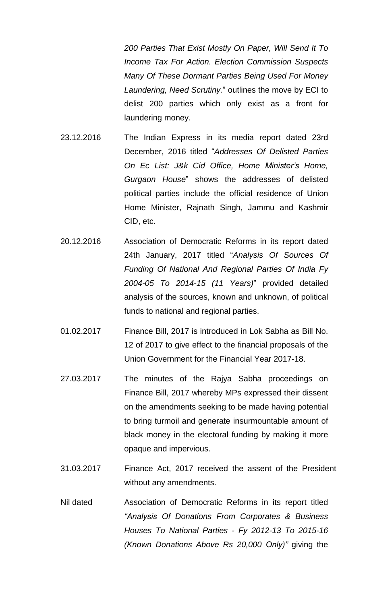*200 Parties That Exist Mostly On Paper, Will Send It To Income Tax For Action. Election Commission Suspects Many Of These Dormant Parties Being Used For Money Laundering, Need Scrutiny.*" outlines the move by ECI to delist 200 parties which only exist as a front for laundering money.

- 23.12.2016 The Indian Express in its media report dated 23rd December, 2016 titled "*Addresses Of Delisted Parties On Ec List: J&k Cid Office, Home Minister's Home, Gurgaon House*" shows the addresses of delisted political parties include the official residence of Union Home Minister, Rajnath Singh, Jammu and Kashmir CID, etc.
- 20.12.2016 Association of Democratic Reforms in its report dated 24th January, 2017 titled "*Analysis Of Sources Of Funding Of National And Regional Parties Of India Fy 2004-05 To 2014-15 (11 Years)*" provided detailed analysis of the sources, known and unknown, of political funds to national and regional parties.
- 01.02.2017 Finance Bill, 2017 is introduced in Lok Sabha as Bill No. 12 of 2017 to give effect to the financial proposals of the Union Government for the Financial Year 2017-18.
- 27.03.2017 The minutes of the Rajya Sabha proceedings on Finance Bill, 2017 whereby MPs expressed their dissent on the amendments seeking to be made having potential to bring turmoil and generate insurmountable amount of black money in the electoral funding by making it more opaque and impervious.
- 31.03.2017 Finance Act, 2017 received the assent of the President without any amendments.
- Nil dated Association of Democratic Reforms in its report titled *"Analysis Of Donations From Corporates & Business Houses To National Parties - Fy 2012-13 To 2015-16 (Known Donations Above Rs 20,000 Only)"* giving the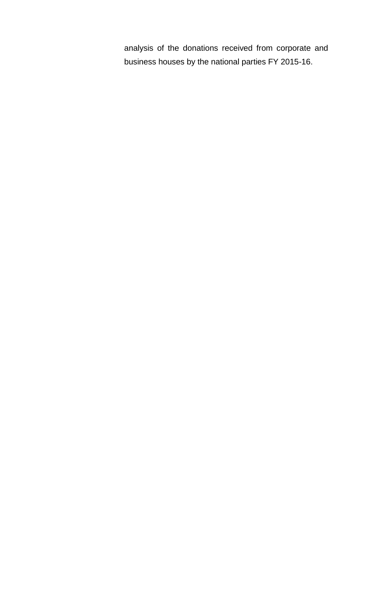analysis of the donations received from corporate and business houses by the national parties FY 2015-16.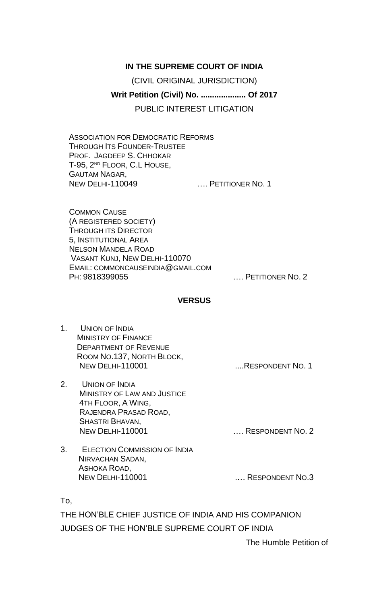# **IN THE SUPREME COURT OF INDIA**

(CIVIL ORIGINAL JURISDICTION)

# **Writ Petition (Civil) No. .................... Of 2017**

PUBLIC INTEREST LITIGATION

ASSOCIATION FOR DEMOCRATIC REFORMS THROUGH ITS FOUNDER-TRUSTEE PROF. JAGDEEP S. CHHOKAR T-95, 2<sup>ND</sup> FLOOR, C.L HOUSE, GAUTAM NAGAR, NEW DELHI-110049 …. PETITIONER NO. 1

COMMON CAUSE (A REGISTERED SOCIETY) THROUGH ITS DIRECTOR 5, INSTITUTIONAL AREA NELSON MANDELA ROAD VASANT KUNJ, NEW DELHI-110070 EMAIL: COMMONCAUSEINDIA@GMAIL.COM PH: 9818399055 …. PETITIONER NO. 2

## **VERSUS**

- 1. UNION OF INDIA MINISTRY OF FINANCE DEPARTMENT OF REVENUE ROOM NO.137, NORTH BLOCK, NEW DELHI-110001 ..... RESPONDENT NO. 1
- 2. UNION OF INDIA MINISTRY OF LAW AND JUSTICE 4TH FLOOR, A WING, RAJENDRA PRASAD ROAD, SHASTRI BHAVAN, NEW DELHI-110001 **NEW DELHI-110001 NEW DELHI-110001**

3. ELECTION COMMISSION OF INDIA NIRVACHAN SADAN, ASHOKA ROAD, NEW DELHI-110001 .... RESPONDENT NO.3

To,

THE HON'BLE CHIEF JUSTICE OF INDIA AND HIS COMPANION JUDGES OF THE HON'BLE SUPREME COURT OF INDIA

The Humble Petition of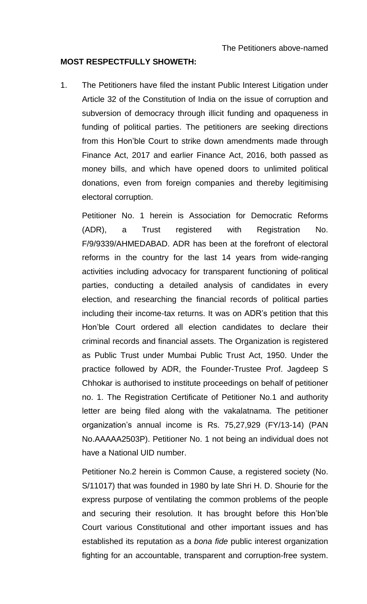#### **MOST RESPECTFULLY SHOWETH:**

1. The Petitioners have filed the instant Public Interest Litigation under Article 32 of the Constitution of India on the issue of corruption and subversion of democracy through illicit funding and opaqueness in funding of political parties. The petitioners are seeking directions from this Hon'ble Court to strike down amendments made through Finance Act, 2017 and earlier Finance Act, 2016, both passed as money bills, and which have opened doors to unlimited political donations, even from foreign companies and thereby legitimising electoral corruption.

Petitioner No. 1 herein is Association for Democratic Reforms (ADR), a Trust registered with Registration No. F/9/9339/AHMEDABAD. ADR has been at the forefront of electoral reforms in the country for the last 14 years from wide-ranging activities including advocacy for transparent functioning of political parties, conducting a detailed analysis of candidates in every election, and researching the financial records of political parties including their income-tax returns. It was on ADR's petition that this Hon'ble Court ordered all election candidates to declare their criminal records and financial assets. The Organization is registered as Public Trust under Mumbai Public Trust Act, 1950. Under the practice followed by ADR, the Founder-Trustee Prof. Jagdeep S Chhokar is authorised to institute proceedings on behalf of petitioner no. 1. The Registration Certificate of Petitioner No.1 and authority letter are being filed along with the vakalatnama. The petitioner organization's annual income is Rs. 75,27,929 (FY/13-14) (PAN No.AAAAA2503P). Petitioner No. 1 not being an individual does not have a National UID number.

Petitioner No.2 herein is Common Cause, a registered society (No. S/11017) that was founded in 1980 by late Shri H. D. Shourie for the express purpose of ventilating the common problems of the people and securing their resolution. It has brought before this Hon'ble Court various Constitutional and other important issues and has established its reputation as a *bona fide* public interest organization fighting for an accountable, transparent and corruption-free system.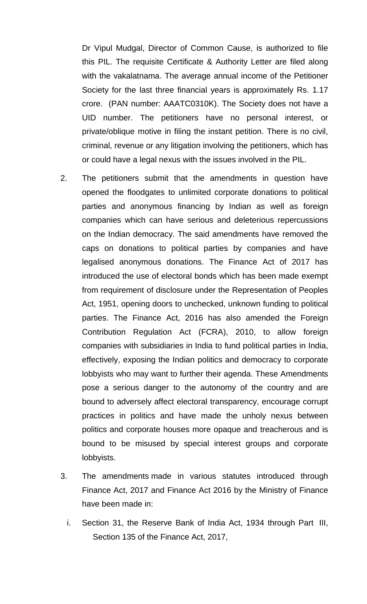Dr Vipul Mudgal, Director of Common Cause, is authorized to file this PIL. The requisite Certificate & Authority Letter are filed along with the vakalatnama. The average annual income of the Petitioner Society for the last three financial years is approximately Rs. 1.17 crore. (PAN number: AAATC0310K). The Society does not have a UID number. The petitioners have no personal interest, or private/oblique motive in filing the instant petition. There is no civil, criminal, revenue or any litigation involving the petitioners, which has or could have a legal nexus with the issues involved in the PIL.

- 2. The petitioners submit that the amendments in question have opened the floodgates to unlimited corporate donations to political parties and anonymous financing by Indian as well as foreign companies which can have serious and deleterious repercussions on the Indian democracy. The said amendments have removed the caps on donations to political parties by companies and have legalised anonymous donations. The Finance Act of 2017 has introduced the use of electoral bonds which has been made exempt from requirement of disclosure under the Representation of Peoples Act, 1951, opening doors to unchecked, unknown funding to political parties. The Finance Act, 2016 has also amended the Foreign Contribution Regulation Act (FCRA), 2010, to allow foreign companies with subsidiaries in India to fund political parties in India, effectively, exposing the Indian politics and democracy to corporate lobbyists who may want to further their agenda. These Amendments pose a serious danger to the autonomy of the country and are bound to adversely affect electoral transparency, encourage corrupt practices in politics and have made the unholy nexus between politics and corporate houses more opaque and treacherous and is bound to be misused by special interest groups and corporate lobbyists.
- 3. The amendments made in various statutes introduced through Finance Act, 2017 and Finance Act 2016 by the Ministry of Finance have been made in:
	- i. Section 31, the Reserve Bank of India Act, 1934 through Part III, Section 135 of the Finance Act, 2017,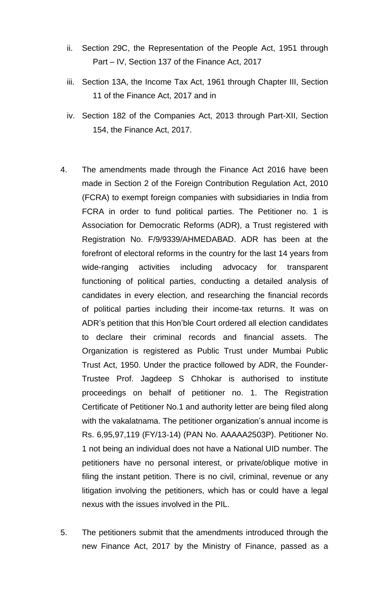- ii. Section 29C, the Representation of the People Act, 1951 through Part – IV, Section 137 of the Finance Act, 2017
- iii. Section 13A, the Income Tax Act, 1961 through Chapter III, Section 11 of the Finance Act, 2017 and in
- iv. Section 182 of the Companies Act, 2013 through Part-XII, Section 154, the Finance Act, 2017.
- 4. The amendments made through the Finance Act 2016 have been made in Section 2 of the Foreign Contribution Regulation Act, 2010 (FCRA) to exempt foreign companies with subsidiaries in India from FCRA in order to fund political parties. The Petitioner no. 1 is Association for Democratic Reforms (ADR), a Trust registered with Registration No. F/9/9339/AHMEDABAD. ADR has been at the forefront of electoral reforms in the country for the last 14 years from wide-ranging activities including advocacy for transparent functioning of political parties, conducting a detailed analysis of candidates in every election, and researching the financial records of political parties including their income-tax returns. It was on ADR's petition that this Hon'ble Court ordered all election candidates to declare their criminal records and financial assets. The Organization is registered as Public Trust under Mumbai Public Trust Act, 1950. Under the practice followed by ADR, the Founder-Trustee Prof. Jagdeep S Chhokar is authorised to institute proceedings on behalf of petitioner no. 1. The Registration Certificate of Petitioner No.1 and authority letter are being filed along with the vakalatnama. The petitioner organization's annual income is Rs. 6,95,97,119 (FY/13-14) (PAN No. AAAAA2503P). Petitioner No. 1 not being an individual does not have a National UID number. The petitioners have no personal interest, or private/oblique motive in filing the instant petition. There is no civil, criminal, revenue or any litigation involving the petitioners, which has or could have a legal nexus with the issues involved in the PIL.
- 5. The petitioners submit that the amendments introduced through the new Finance Act, 2017 by the Ministry of Finance, passed as a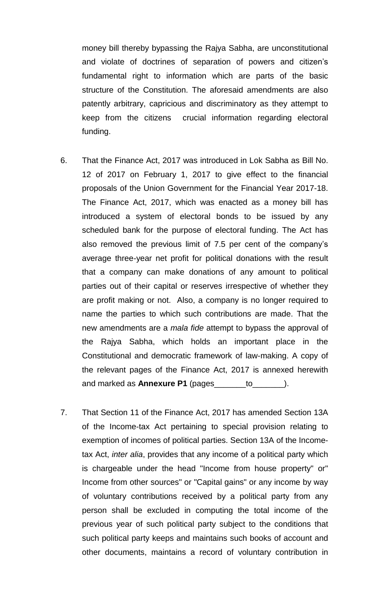money bill thereby bypassing the Rajya Sabha, are unconstitutional and violate of doctrines of separation of powers and citizen's fundamental right to information which are parts of the basic structure of the Constitution. The aforesaid amendments are also patently arbitrary, capricious and discriminatory as they attempt to keep from the citizens crucial information regarding electoral funding.

- 6. That the Finance Act, 2017 was introduced in Lok Sabha as Bill No. 12 of 2017 on February 1, 2017 to give effect to the financial proposals of the Union Government for the Financial Year 2017-18. The Finance Act, 2017, which was enacted as a money bill has introduced a system of electoral bonds to be issued by any scheduled bank for the purpose of electoral funding. The Act has also removed the previous limit of 7.5 per cent of the company's average three-year net profit for political donations with the result that a company can make donations of any amount to political parties out of their capital or reserves irrespective of whether they are profit making or not. Also, a company is no longer required to name the parties to which such contributions are made. That the new amendments are a *mala fide* attempt to bypass the approval of the Rajya Sabha, which holds an important place in the Constitutional and democratic framework of law-making. A copy of the relevant pages of the Finance Act, 2017 is annexed herewith and marked as **Annexure P1** (pages\_\_\_\_\_\_\_to\_\_\_\_\_\_\_).
- 7. That Section 11 of the Finance Act, 2017 has amended Section 13A of the Income-tax Act pertaining to special provision relating to exemption of incomes of political parties. Section 13A of the Incometax Act, *inter alia*, provides that any income of a political party which is chargeable under the head "Income from house property" or" Income from other sources" or "Capital gains" or any income by way of voluntary contributions received by a political party from any person shall be excluded in computing the total income of the previous year of such political party subject to the conditions that such political party keeps and maintains such books of account and other documents, maintains a record of voluntary contribution in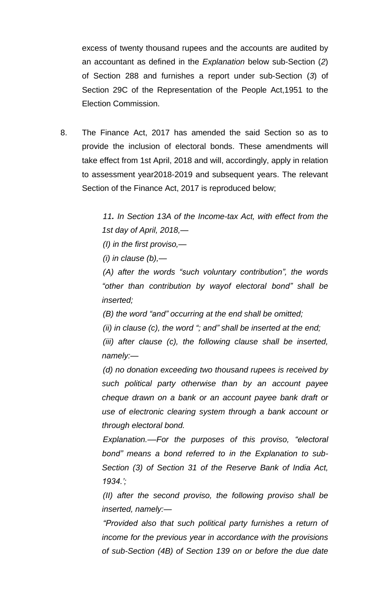excess of twenty thousand rupees and the accounts are audited by an accountant as defined in the *Explanation* below sub-Section (*2*) of Section 288 and furnishes a report under sub-Section (*3*) of Section 29C of the Representation of the People Act,1951 to the Election Commission.

8. The Finance Act, 2017 has amended the said Section so as to provide the inclusion of electoral bonds. These amendments will take effect from 1st April, 2018 and will, accordingly, apply in relation to assessment year2018-2019 and subsequent years. The relevant Section of the Finance Act, 2017 is reproduced below;

> *11. In Section 13A of the Income-tax Act, with effect from the 1st day of April, 2018,—*

*(I) in the first proviso,—*

*(i) in clause (b),—*

*(A) after the words "such voluntary contribution", the words "other than contribution by wayof electoral bond" shall be inserted;*

*(B) the word "and" occurring at the end shall be omitted;*

*(ii) in clause (c), the word "; and" shall be inserted at the end;*

*(iii) after clause (c), the following clause shall be inserted, namely:—*

*(d) no donation exceeding two thousand rupees is received by such political party otherwise than by an account payee cheque drawn on a bank or an account payee bank draft or use of electronic clearing system through a bank account or through electoral bond.*

*Explanation.––For the purposes of this proviso, "electoral bond" means a bond referred to in the Explanation to sub-Section (3) of Section 31 of the Reserve Bank of India Act, 1934.';*

*(II) after the second proviso, the following proviso shall be inserted, namely:—*

*"Provided also that such political party furnishes a return of income for the previous year in accordance with the provisions of sub-Section (4B) of Section 139 on or before the due date*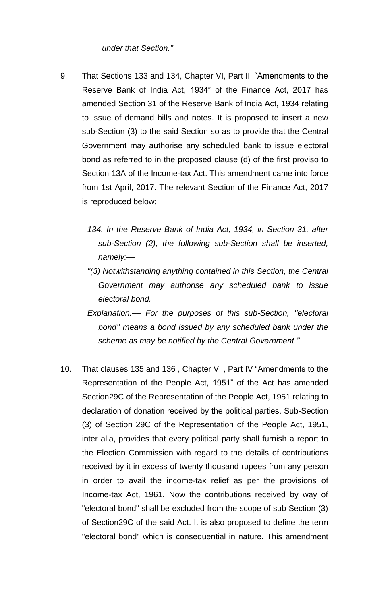# *under that Section."*

- 9. That Sections 133 and 134, Chapter VI, Part III "Amendments to the Reserve Bank of India Act, 1934" of the Finance Act, 2017 has amended Section 31 of the Reserve Bank of India Act, 1934 relating to issue of demand bills and notes. It is proposed to insert a new sub-Section (3) to the said Section so as to provide that the Central Government may authorise any scheduled bank to issue electoral bond as referred to in the proposed clause (d) of the first proviso to Section 13A of the Income-tax Act. This amendment came into force from 1st April, 2017. The relevant Section of the Finance Act, 2017 is reproduced below;
	- *134. In the Reserve Bank of India Act, 1934, in Section 31, after sub-Section (2), the following sub-Section shall be inserted, namely:—*
	- *"(3) Notwithstanding anything contained in this Section, the Central Government may authorise any scheduled bank to issue electoral bond.*
	- *Explanation.–– For the purposes of this sub-Section, ''electoral bond'' means a bond issued by any scheduled bank under the scheme as may be notified by the Central Government.''*
- 10. That clauses 135 and 136 , Chapter VI , Part IV "Amendments to the Representation of the People Act, 1951" of the Act has amended Section29C of the Representation of the People Act, 1951 relating to declaration of donation received by the political parties. Sub-Section (3) of Section 29C of the Representation of the People Act, 1951, inter alia, provides that every political party shall furnish a report to the Election Commission with regard to the details of contributions received by it in excess of twenty thousand rupees from any person in order to avail the income-tax relief as per the provisions of Income-tax Act, 1961. Now the contributions received by way of "electoral bond" shall be excluded from the scope of sub Section (3) of Section29C of the said Act. It is also proposed to define the term "electoral bond" which is consequential in nature. This amendment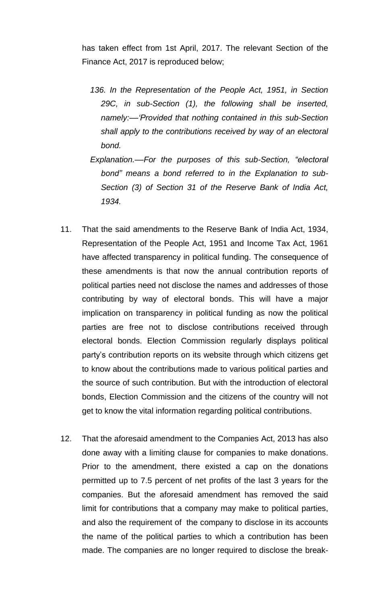has taken effect from 1st April, 2017. The relevant Section of the Finance Act, 2017 is reproduced below;

- *136. In the Representation of the People Act, 1951, in Section 29C, in sub-Section (1), the following shall be inserted, namely:––'Provided that nothing contained in this sub-Section shall apply to the contributions received by way of an electoral bond.*
- *Explanation.––For the purposes of this sub-Section, "electoral bond" means a bond referred to in the Explanation to sub-Section (3) of Section 31 of the Reserve Bank of India Act, 1934.*
- 11. That the said amendments to the Reserve Bank of India Act, 1934, Representation of the People Act, 1951 and Income Tax Act, 1961 have affected transparency in political funding. The consequence of these amendments is that now the annual contribution reports of political parties need not disclose the names and addresses of those contributing by way of electoral bonds. This will have a major implication on transparency in political funding as now the political parties are free not to disclose contributions received through electoral bonds. Election Commission regularly displays political party's contribution reports on its website through which citizens get to know about the contributions made to various political parties and the source of such contribution. But with the introduction of electoral bonds, Election Commission and the citizens of the country will not get to know the vital information regarding political contributions.
- 12. That the aforesaid amendment to the Companies Act, 2013 has also done away with a limiting clause for companies to make donations. Prior to the amendment, there existed a cap on the donations permitted up to 7.5 percent of net profits of the last 3 years for the companies. But the aforesaid amendment has removed the said limit for contributions that a company may make to political parties, and also the requirement of the company to disclose in its accounts the name of the political parties to which a contribution has been made. The companies are no longer required to disclose the break-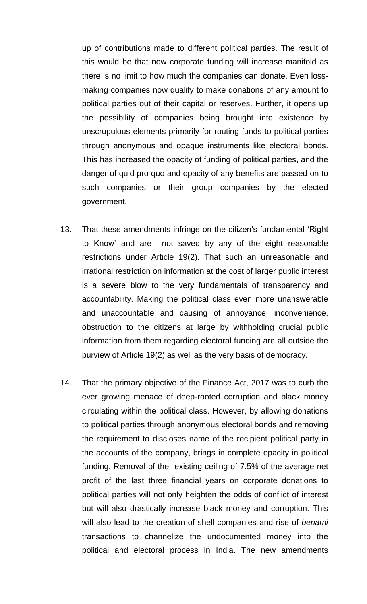up of contributions made to different political parties. The result of this would be that now corporate funding will increase manifold as there is no limit to how much the companies can donate. Even lossmaking companies now qualify to make donations of any amount to political parties out of their capital or reserves. Further, it opens up the possibility of companies being brought into existence by unscrupulous elements primarily for routing funds to political parties through anonymous and opaque instruments like electoral bonds. This has increased the opacity of funding of political parties, and the danger of quid pro quo and opacity of any benefits are passed on to such companies or their group companies by the elected government.

- 13. That these amendments infringe on the citizen's fundamental 'Right to Know' and are not saved by any of the eight reasonable restrictions under Article 19(2). That such an unreasonable and irrational restriction on information at the cost of larger public interest is a severe blow to the very fundamentals of transparency and accountability. Making the political class even more unanswerable and unaccountable and causing of annoyance, inconvenience, obstruction to the citizens at large by withholding crucial public information from them regarding electoral funding are all outside the purview of Article 19(2) as well as the very basis of democracy.
- 14. That the primary objective of the Finance Act, 2017 was to curb the ever growing menace of deep-rooted corruption and black money circulating within the political class. However, by allowing donations to political parties through anonymous electoral bonds and removing the requirement to discloses name of the recipient political party in the accounts of the company, brings in complete opacity in political funding. Removal of the existing ceiling of 7.5% of the average net profit of the last three financial years on corporate donations to political parties will not only heighten the odds of conflict of interest but will also drastically increase black money and corruption. This will also lead to the creation of shell companies and rise of *benami* transactions to channelize the undocumented money into the political and electoral process in India. The new amendments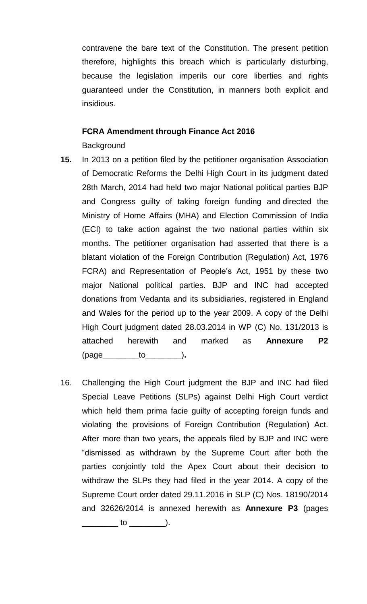contravene the bare text of the Constitution. The present petition therefore, highlights this breach which is particularly disturbing, because the legislation imperils our core liberties and rights guaranteed under the Constitution, in manners both explicit and insidious.

# **FCRA Amendment through Finance Act 2016**

# **Background**

- **15.** In 2013 on a petition filed by the petitioner organisation Association of Democratic Reforms the Delhi High Court in its judgment dated 28th March, 2014 had held two major National political parties BJP and Congress guilty of taking foreign funding and directed the Ministry of Home Affairs (MHA) and Election Commission of India (ECI) to take action against the two national parties within six months. The petitioner organisation had asserted that there is a blatant violation of the Foreign Contribution (Regulation) Act, 1976 FCRA) and Representation of People's Act, 1951 by these two major National political parties. BJP and INC had accepted donations from Vedanta and its subsidiaries, registered in England and Wales for the period up to the year 2009. A copy of the Delhi High Court judgment dated 28.03.2014 in WP (C) No. 131/2013 is attached herewith and marked as **Annexure P2** (page\_\_\_\_\_\_\_\_to\_\_\_\_\_\_\_\_)**.**
- 16. Challenging the High Court judgment the BJP and INC had filed Special Leave Petitions (SLPs) against Delhi High Court verdict which held them prima facie guilty of accepting foreign funds and violating the provisions of Foreign Contribution (Regulation) Act. After more than two years, the appeals filed by BJP and INC were "dismissed as withdrawn by the Supreme Court after both the parties conjointly told the Apex Court about their decision to withdraw the SLPs they had filed in the year 2014. A copy of the Supreme Court order dated 29.11.2016 in SLP (C) Nos. 18190/2014 and 32626/2014 is annexed herewith as **Annexure P3** (pages \_\_\_\_\_\_\_\_ to \_\_\_\_\_\_\_\_).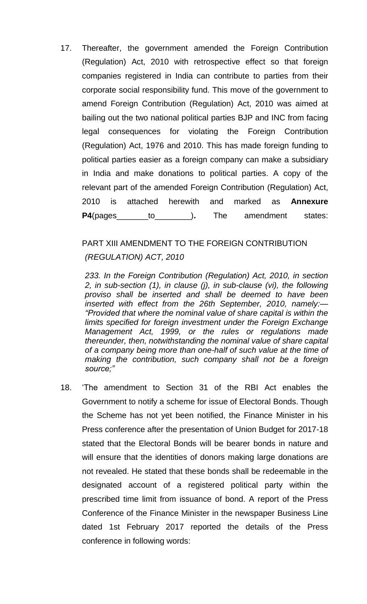17. Thereafter, the government amended the Foreign Contribution (Regulation) Act, 2010 with retrospective effect so that foreign companies registered in India can contribute to parties from their corporate social responsibility fund. This move of the government to amend Foreign Contribution (Regulation) Act, 2010 was aimed at bailing out the two national political parties BJP and INC from facing legal consequences for violating the Foreign Contribution (Regulation) Act, 1976 and 2010. This has made foreign funding to political parties easier as a foreign company can make a subsidiary in India and make donations to political parties. A copy of the relevant part of the amended Foreign Contribution (Regulation) Act, 2010 is attached herewith and marked as **Annexure P4**(pages\_\_\_\_\_\_\_to\_\_\_\_\_\_\_\_)**.** The amendment states:

## PART XIII AMENDMENT TO THE FOREIGN CONTRIBUTION

# *(REGULATION) ACT, 2010*

*233. In the Foreign Contribution (Regulation) Act, 2010, in section 2, in sub-section (1), in clause (j), in sub-clause (vi), the following proviso shall be inserted and shall be deemed to have been inserted with effect from the 26th September, 2010, namely:— "Provided that where the nominal value of share capital is within the limits specified for foreign investment under the Foreign Exchange Management Act, 1999, or the rules or regulations made thereunder, then, notwithstanding the nominal value of share capital of a company being more than one-half of such value at the time of making the contribution, such company shall not be a foreign source;"*

18. 'The amendment to Section 31 of the RBI Act enables the Government to notify a scheme for issue of Electoral Bonds. Though the Scheme has not yet been notified, the Finance Minister in his Press conference after the presentation of Union Budget for 2017-18 stated that the Electoral Bonds will be bearer bonds in nature and will ensure that the identities of donors making large donations are not revealed. He stated that these bonds shall be redeemable in the designated account of a registered political party within the prescribed time limit from issuance of bond. A report of the Press Conference of the Finance Minister in the newspaper Business Line dated 1st February 2017 reported the details of the Press conference in following words: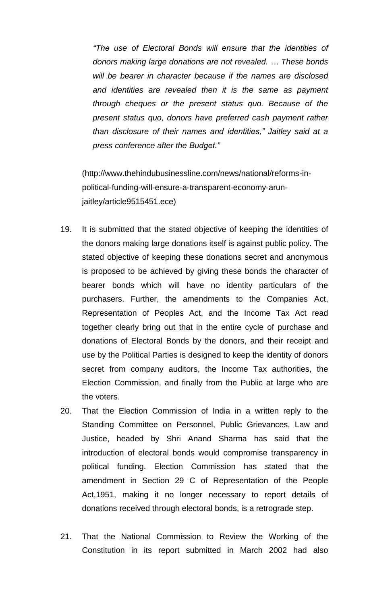*"The use of Electoral Bonds will ensure that the identities of donors making large donations are not revealed. … These bonds will be bearer in character because if the names are disclosed and identities are revealed then it is the same as payment through cheques or the present status quo. Because of the present status quo, donors have preferred cash payment rather than disclosure of their names and identities," Jaitley said at a press conference after the Budget."*

(http://www.thehindubusinessline.com/news/national/reforms-inpolitical-funding-will-ensure-a-transparent-economy-arunjaitley/article9515451.ece)

- 19. It is submitted that the stated objective of keeping the identities of the donors making large donations itself is against public policy. The stated objective of keeping these donations secret and anonymous is proposed to be achieved by giving these bonds the character of bearer bonds which will have no identity particulars of the purchasers. Further, the amendments to the Companies Act, Representation of Peoples Act, and the Income Tax Act read together clearly bring out that in the entire cycle of purchase and donations of Electoral Bonds by the donors, and their receipt and use by the Political Parties is designed to keep the identity of donors secret from company auditors, the Income Tax authorities, the Election Commission, and finally from the Public at large who are the voters.
- 20. That the Election Commission of India in a written reply to the Standing Committee on Personnel, Public Grievances, Law and Justice, headed by Shri Anand Sharma has said that the introduction of electoral bonds would compromise transparency in political funding. Election Commission has stated that the amendment in Section 29 C of Representation of the People Act,1951, making it no longer necessary to report details of donations received through electoral bonds, is a retrograde step.
- 21. That the National Commission to Review the Working of the Constitution in its report submitted in March 2002 had also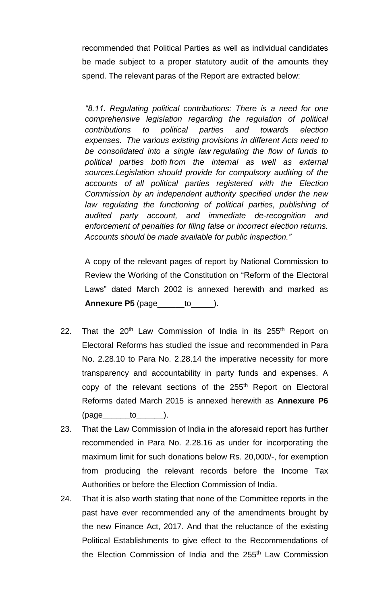recommended that Political Parties as well as individual candidates be made subject to a proper statutory audit of the amounts they spend. The relevant paras of the Report are extracted below:

*"8.11. Regulating political contributions: There is a need for one comprehensive legislation regarding the regulation of political contributions to political parties and towards election expenses. The various existing provisions in different Acts need to be consolidated into a single law regulating the flow of funds to political parties both from the internal as well as external sources.Legislation should provide for compulsory auditing of the accounts of all political parties registered with the Election Commission by an independent authority specified under the new law regulating the functioning of political parties, publishing of audited party account, and immediate de-recognition and enforcement of penalties for filing false or incorrect election returns. Accounts should be made available for public inspection."*

A copy of the relevant pages of report by National Commission to Review the Working of the Constitution on "Reform of the Electoral Laws" dated March 2002 is annexed herewith and marked as **Annexure P5** (page\_\_\_\_\_\_to\_\_\_\_\_).

- 22. That the  $20<sup>th</sup>$  Law Commission of India in its  $255<sup>th</sup>$  Report on Electoral Reforms has studied the issue and recommended in Para No. 2.28.10 to Para No. 2.28.14 the imperative necessity for more transparency and accountability in party funds and expenses. A copy of the relevant sections of the 255<sup>th</sup> Report on Electoral Reforms dated March 2015 is annexed herewith as **Annexure P6**  $(page$  to  $)$ .
- 23. That the Law Commission of India in the aforesaid report has further recommended in Para No. 2.28.16 as under for incorporating the maximum limit for such donations below Rs. 20,000/-, for exemption from producing the relevant records before the Income Tax Authorities or before the Election Commission of India.
- 24. That it is also worth stating that none of the Committee reports in the past have ever recommended any of the amendments brought by the new Finance Act, 2017. And that the reluctance of the existing Political Establishments to give effect to the Recommendations of the Election Commission of India and the 255<sup>th</sup> Law Commission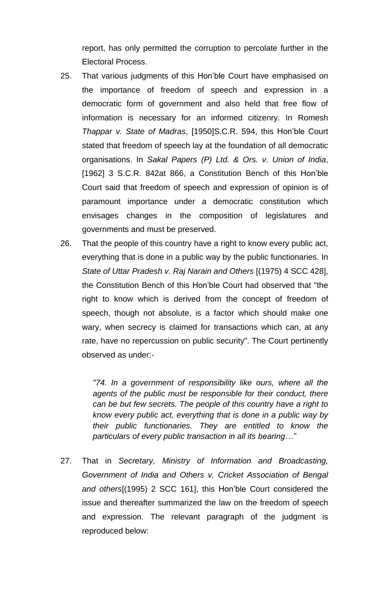report, has only permitted the corruption to percolate further in the Electoral Process.

- 25. That various judgments of this Hon'ble Court have emphasised on the importance of freedom of speech and expression in a democratic form of government and also held that free flow of information is necessary for an informed citizenry. In Romesh *Thappar v. State of Madras*, [1950]S.C.R. 594, this Hon'ble Court stated that freedom of speech lay at the foundation of all democratic organisations. In *Sakal Papers (P) Ltd. & Ors. v. Union of India*, [1962] 3 S.C.R. 842at 866, a Constitution Bench of this Hon'ble Court said that freedom of speech and expression of opinion is of paramount importance under a democratic constitution which envisages changes in the composition of legislatures and governments and must be preserved.
- 26. That the people of this country have a right to know every public act, everything that is done in a public way by the public functionaries. In *State of Uttar Pradesh v. Raj Narain and Others* [(1975) 4 SCC 428], the Constitution Bench of this Hon'ble Court had observed that "the right to know which is derived from the concept of freedom of speech, though not absolute, is a factor which should make one wary, when secrecy is claimed for transactions which can, at any rate, have no repercussion on public security". The Court pertinently observed as under:-

*"74. In a government of responsibility like ours, where all the agents of the public must be responsible for their conduct, there can be but few secrets. The people of this country have a right to know every public act, everything that is done in a public way by their public functionaries. They are entitled to know the particulars of every public transaction in all its bearing…"*

27. That in *Secretary, Ministry of Information and Broadcasting, Government of India and Others v. Cricket Association of Bengal and others*[(1995) 2 SCC 161], this Hon'ble Court considered the issue and thereafter summarized the law on the freedom of speech and expression. The relevant paragraph of the judgment is reproduced below: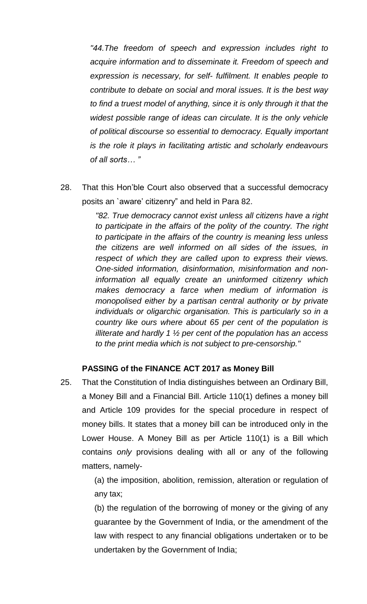*"44.The freedom of speech and expression includes right to acquire information and to disseminate it. Freedom of speech and expression is necessary, for self- fulfilment. It enables people to contribute to debate on social and moral issues. It is the best way to find a truest model of anything, since it is only through it that the widest possible range of ideas can circulate. It is the only vehicle of political discourse so essential to democracy. Equally important is the role it plays in facilitating artistic and scholarly endeavours of all sorts… "*

28. That this Hon'ble Court also observed that a successful democracy posits an `aware' citizenry" and held in Para 82.

> *"82. True democracy cannot exist unless all citizens have a right to participate in the affairs of the polity of the country. The right to participate in the affairs of the country is meaning less unless the citizens are well informed on all sides of the issues, in respect of which they are called upon to express their views. One-sided information, disinformation, misinformation and noninformation all equally create an uninformed citizenry which makes democracy a farce when medium of information is monopolised either by a partisan central authority or by private individuals or oligarchic organisation. This is particularly so in a country like ours where about 65 per cent of the population is illiterate and hardly 1 ½ per cent of the population has an access to the print media which is not subject to pre-censorship."*

# **PASSING of the FINANCE ACT 2017 as Money Bill**

25. That the Constitution of India distinguishes between an Ordinary Bill, a Money Bill and a Financial Bill. Article 110(1) defines a money bill and Article 109 provides for the special procedure in respect of money bills. It states that a money bill can be introduced only in the Lower House. A Money Bill as per Article 110(1) is a Bill which contains *only* provisions dealing with all or any of the following matters, namely-

> (a) the imposition, abolition, remission, alteration or regulation of any tax;

> (b) the regulation of the borrowing of money or the giving of any guarantee by the Government of India, or the amendment of the law with respect to any financial obligations undertaken or to be undertaken by the Government of India;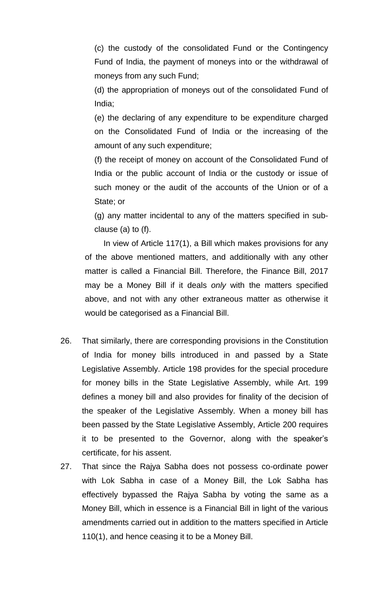(c) the custody of the consolidated Fund or the Contingency Fund of India, the payment of moneys into or the withdrawal of moneys from any such Fund;

(d) the appropriation of moneys out of the consolidated Fund of India;

(e) the declaring of any expenditure to be expenditure charged on the Consolidated Fund of India or the increasing of the amount of any such expenditure;

(f) the receipt of money on account of the Consolidated Fund of India or the public account of India or the custody or issue of such money or the audit of the accounts of the Union or of a State; or

(g) any matter incidental to any of the matters specified in subclause (a) to (f).

In view of Article 117(1), a Bill which makes provisions for any of the above mentioned matters, and additionally with any other matter is called a Financial Bill. Therefore, the Finance Bill, 2017 may be a Money Bill if it deals *only* with the matters specified above, and not with any other extraneous matter as otherwise it would be categorised as a Financial Bill.

- 26. That similarly, there are corresponding provisions in the Constitution of India for money bills introduced in and passed by a State Legislative Assembly. Article 198 provides for the special procedure for money bills in the State Legislative Assembly, while Art. 199 defines a money bill and also provides for finality of the decision of the speaker of the Legislative Assembly. When a money bill has been passed by the State Legislative Assembly, Article 200 requires it to be presented to the Governor, along with the speaker's certificate, for his assent.
- 27. That since the Rajya Sabha does not possess co-ordinate power with Lok Sabha in case of a Money Bill, the Lok Sabha has effectively bypassed the Rajya Sabha by voting the same as a Money Bill, which in essence is a Financial Bill in light of the various amendments carried out in addition to the matters specified in Article 110(1), and hence ceasing it to be a Money Bill.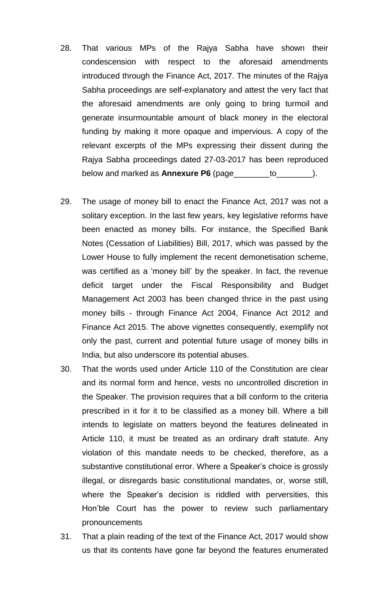- 28. That various MPs of the Rajya Sabha have shown their condescension with respect to the aforesaid amendments introduced through the Finance Act, 2017. The minutes of the Rajya Sabha proceedings are self-explanatory and attest the very fact that the aforesaid amendments are only going to bring turmoil and generate insurmountable amount of black money in the electoral funding by making it more opaque and impervious. A copy of the relevant excerpts of the MPs expressing their dissent during the Rajya Sabha proceedings dated 27-03-2017 has been reproduced below and marked as **Annexure P6** (page\_\_\_\_\_\_\_\_to\_\_\_\_\_\_\_\_).
- 29. The usage of money bill to enact the Finance Act, 2017 was not a solitary exception. In the last few years, key legislative reforms have been enacted as money bills. For instance, the Specified Bank Notes (Cessation of Liabilities) Bill, 2017, which was passed by the Lower House to fully implement the recent demonetisation scheme, was certified as a 'money bill' by the speaker. In fact, the revenue deficit target under the Fiscal Responsibility and Budget Management Act 2003 has been changed thrice in the past using money bills - through Finance Act 2004, Finance Act 2012 and Finance Act 2015. The above vignettes consequently, exemplify not only the past, current and potential future usage of money bills in India, but also underscore its potential abuses.
- 30. That the words used under Article 110 of the Constitution are clear and its normal form and hence, vests no uncontrolled discretion in the Speaker. The provision requires that a bill conform to the criteria prescribed in it for it to be classified as a money bill. Where a bill intends to legislate on matters beyond the features delineated in Article 110, it must be treated as an ordinary draft statute. Any violation of this mandate needs to be checked, therefore, as a substantive constitutional error. Where a Speaker's choice is grossly illegal, or disregards basic constitutional mandates, or, worse still, where the Speaker's decision is riddled with perversities, this Hon'ble Court has the power to review such parliamentary pronouncements
- 31. That a plain reading of the text of the Finance Act, 2017 would show us that its contents have gone far beyond the features enumerated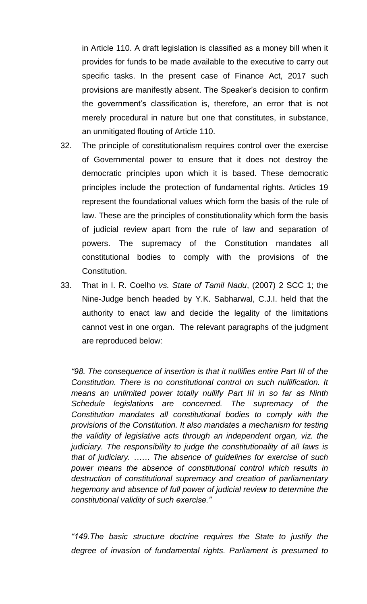in Article 110. A draft legislation is classified as a money bill when it provides for funds to be made available to the executive to carry out specific tasks. In the present case of Finance Act, 2017 such provisions are manifestly absent. The Speaker's decision to confirm the government's classification is, therefore, an error that is not merely procedural in nature but one that constitutes, in substance, an unmitigated flouting of Article 110.

- 32. The principle of constitutionalism requires control over the exercise of Governmental power to ensure that it does not destroy the democratic principles upon which it is based. These democratic principles include the protection of fundamental rights. Articles 19 represent the foundational values which form the basis of the rule of law. These are the principles of constitutionality which form the basis of judicial review apart from the rule of law and separation of powers. The supremacy of the Constitution mandates all constitutional bodies to comply with the provisions of the Constitution.
- 33. That in I. R. Coelho *vs. State of Tamil Nadu*, (2007) 2 SCC 1; the Nine-Judge bench headed by Y.K. Sabharwal, C.J.I. held that the authority to enact law and decide the legality of the limitations cannot vest in one organ. The relevant paragraphs of the judgment are reproduced below:

*"98. The consequence of insertion is that it nullifies entire Part III of the Constitution. There is no constitutional control on such nullification. It means an unlimited power totally nullify Part III in so far as Ninth Schedule legislations are concerned. The supremacy of the Constitution mandates all constitutional bodies to comply with the provisions of the Constitution. It also mandates a mechanism for testing the validity of legislative acts through an independent organ, viz. the judiciary. The responsibility to judge the constitutionality of all laws is that of judiciary. …… The absence of guidelines for exercise of such power means the absence of constitutional control which results in destruction of constitutional supremacy and creation of parliamentary hegemony and absence of full power of judicial review to determine the constitutional validity of such exercise."*

*"149.The basic structure doctrine requires the State to justify the degree of invasion of fundamental rights. Parliament is presumed to*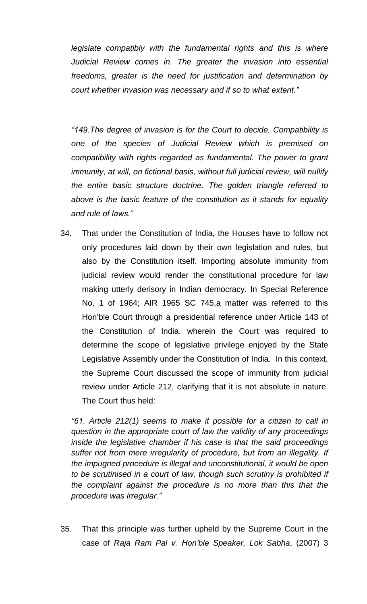*legislate compatibly with the fundamental rights and this is where Judicial Review comes in. The greater the invasion into essential freedoms, greater is the need for justification and determination by court whether invasion was necessary and if so to what extent."*

*"149.The degree of invasion is for the Court to decide. Compatibility is one of the species of Judicial Review which is premised on compatibility with rights regarded as fundamental. The power to grant immunity, at will, on fictional basis, without full judicial review, will nullify the entire basic structure doctrine. The golden triangle referred to above is the basic feature of the constitution as it stands for equality and rule of laws."*

34. That under the Constitution of India, the Houses have to follow not only procedures laid down by their own legislation and rules, but also by the Constitution itself. Importing absolute immunity from judicial review would render the constitutional procedure for law making utterly derisory in Indian democracy. In Special Reference No. 1 of 1964; AIR 1965 SC 745,a matter was referred to this Hon'ble Court through a presidential reference under Article 143 of the Constitution of India, wherein the Court was required to determine the scope of legislative privilege enjoyed by the State Legislative Assembly under the Constitution of India. In this context, the Supreme Court discussed the scope of immunity from judicial review under Article 212, clarifying that it is not absolute in nature. The Court thus held:

*"61. Article 212(1) seems to make it possible for a citizen to call in question in the appropriate court of law the validity of any proceedings inside the legislative chamber if his case is that the said proceedings suffer not from mere irregularity of procedure, but from an illegality. If the impugned procedure is illegal and unconstitutional, it would be open to be scrutinised in a court of law, though such scrutiny is prohibited if the complaint against the procedure is no more than this that the procedure was irregular."*

35. That this principle was further upheld by the Supreme Court in the case of *Raja Ram Pal v. Hon'ble Speaker, Lok Sabha*, (2007) 3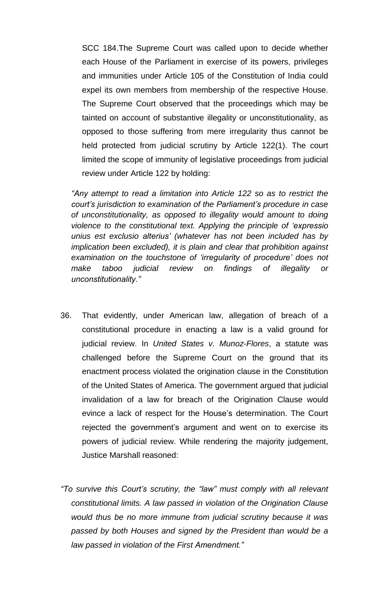SCC 184.The Supreme Court was called upon to decide whether each House of the Parliament in exercise of its powers, privileges and immunities under Article 105 of the Constitution of India could expel its own members from membership of the respective House. The Supreme Court observed that the proceedings which may be tainted on account of substantive illegality or unconstitutionality, as opposed to those suffering from mere irregularity thus cannot be held protected from judicial scrutiny by Article 122(1). The court limited the scope of immunity of legislative proceedings from judicial review under Article 122 by holding:

*"Any attempt to read a limitation into Article 122 so as to restrict the court's jurisdiction to examination of the Parliament's procedure in case of unconstitutionality, as opposed to illegality would amount to doing violence to the constitutional text. Applying the principle of 'expressio unius est exclusio alterius' (whatever has not been included has by implication been excluded), it is plain and clear that prohibition against examination on the touchstone of 'irregularity of procedure' does not make taboo judicial review on findings of illegality or unconstitutionality."*

- 36. That evidently, under American law, allegation of breach of a constitutional procedure in enacting a law is a valid ground for judicial review. In *United States v. Munoz-Flores*, a statute was challenged before the Supreme Court on the ground that its enactment process violated the origination clause in the Constitution of the United States of America. The government argued that judicial invalidation of a law for breach of the Origination Clause would evince a lack of respect for the House's determination. The Court rejected the government's argument and went on to exercise its powers of judicial review. While rendering the majority judgement, Justice Marshall reasoned:
- *"To survive this Court's scrutiny, the "law" must comply with all relevant constitutional limits. A law passed in violation of the Origination Clause would thus be no more immune from judicial scrutiny because it was passed by both Houses and signed by the President than would be a law passed in violation of the First Amendment."*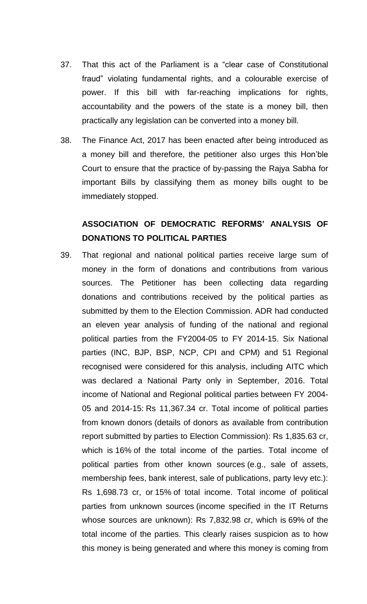- 37. That this act of the Parliament is a "clear case of Constitutional fraud" violating fundamental rights, and a colourable exercise of power. If this bill with far-reaching implications for rights, accountability and the powers of the state is a money bill, then practically any legislation can be converted into a money bill.
- 38. The Finance Act, 2017 has been enacted after being introduced as a money bill and therefore, the petitioner also urges this Hon'ble Court to ensure that the practice of by-passing the Rajya Sabha for important Bills by classifying them as money bills ought to be immediately stopped.

# **ASSOCIATION OF DEMOCRATIC REFORMS' ANALYSIS OF DONATIONS TO POLITICAL PARTIES**

39. That regional and national political parties receive large sum of money in the form of donations and contributions from various sources. The Petitioner has been collecting data regarding donations and contributions received by the political parties as submitted by them to the Election Commission. ADR had conducted an eleven year analysis of funding of the national and regional political parties from the FY2004-05 to FY 2014-15. Six National parties (INC, BJP, BSP, NCP, CPI and CPM) and 51 Regional recognised were considered for this analysis, including AITC which was declared a National Party only in September, 2016. Total income of National and Regional political parties between FY 2004- 05 and 2014-15: Rs 11,367.34 cr. Total income of political parties from known donors (details of donors as available from contribution report submitted by parties to Election Commission): Rs 1,835.63 cr, which is 16% of the total income of the parties. Total income of political parties from other known sources (e.g., sale of assets, membership fees, bank interest, sale of publications, party levy etc.): Rs 1,698.73 cr, or 15% of total income. Total income of political parties from unknown sources (income specified in the IT Returns whose sources are unknown): Rs 7,832.98 cr, which is 69% of the total income of the parties. This clearly raises suspicion as to how this money is being generated and where this money is coming from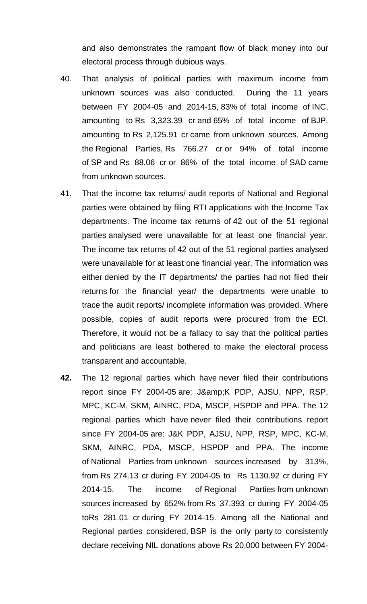and also demonstrates the rampant flow of black money into our electoral process through dubious ways.

- 40. That analysis of political parties with maximum income from unknown sources was also conducted. During the 11 years between FY 2004-05 and 2014-15, 83% of total income of INC, amounting to Rs 3,323.39 cr and 65% of total income of BJP, amounting to Rs 2,125.91 cr came from unknown sources. Among the Regional Parties, Rs 766.27 cr or 94% of total income of SP and Rs 88.06 cr or 86% of the total income of SAD came from unknown sources.
- 41. That the income tax returns/ audit reports of National and Regional parties were obtained by filing RTI applications with the Income Tax departments. The income tax returns of 42 out of the 51 regional parties analysed were unavailable for at least one financial year. The income tax returns of 42 out of the 51 regional parties analysed were unavailable for at least one financial year. The information was either denied by the IT departments/ the parties had not filed their returns for the financial year/ the departments were unable to trace the audit reports/ incomplete information was provided. Where possible, copies of audit reports were procured from the ECI. Therefore, it would not be a fallacy to say that the political parties and politicians are least bothered to make the electoral process transparent and accountable.
- **42.** The 12 regional parties which have never filed their contributions report since FY 2004-05 are: J&K PDP, AJSU, NPP, RSP, MPC, KC-M, SKM, AINRC, PDA, MSCP, HSPDP and PPA. The 12 regional parties which have never filed their contributions report since FY 2004-05 are: J&K PDP, AJSU, NPP, RSP, MPC, KC-M, SKM, AINRC, PDA, MSCP, HSPDP and PPA. The income of National Parties from unknown sources increased by 313%, from Rs 274.13 cr during FY 2004-05 to Rs 1130.92 cr during FY 2014-15. The income of Regional Parties from unknown sources increased by 652% from Rs 37.393 cr during FY 2004-05 toRs 281.01 cr during FY 2014-15. Among all the National and Regional parties considered, BSP is the only party to consistently declare receiving NIL donations above Rs 20,000 between FY 2004-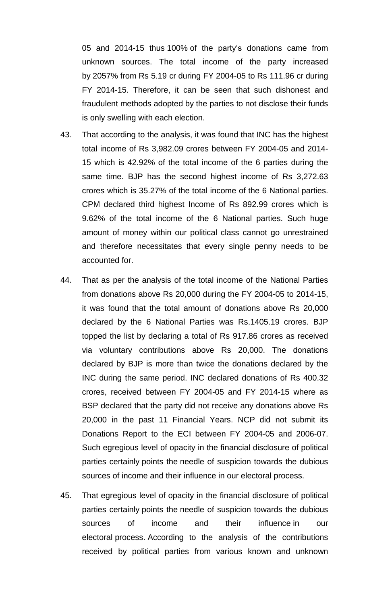05 and 2014-15 thus 100% of the party's donations came from unknown sources. The total income of the party increased by 2057% from Rs 5.19 cr during FY 2004-05 to Rs 111.96 cr during FY 2014-15. Therefore, it can be seen that such dishonest and fraudulent methods adopted by the parties to not disclose their funds is only swelling with each election.

- 43. That according to the analysis, it was found that INC has the highest total income of Rs 3,982.09 crores between FY 2004-05 and 2014- 15 which is 42.92% of the total income of the 6 parties during the same time. BJP has the second highest income of Rs 3,272.63 crores which is 35.27% of the total income of the 6 National parties. CPM declared third highest Income of Rs 892.99 crores which is 9.62% of the total income of the 6 National parties. Such huge amount of money within our political class cannot go unrestrained and therefore necessitates that every single penny needs to be accounted for.
- 44. That as per the analysis of the total income of the National Parties from donations above Rs 20,000 during the FY 2004-05 to 2014-15, it was found that the total amount of donations above Rs 20,000 declared by the 6 National Parties was Rs.1405.19 crores. BJP topped the list by declaring a total of Rs 917.86 crores as received via voluntary contributions above Rs 20,000. The donations declared by BJP is more than twice the donations declared by the INC during the same period. INC declared donations of Rs 400.32 crores, received between FY 2004-05 and FY 2014-15 where as BSP declared that the party did not receive any donations above Rs 20,000 in the past 11 Financial Years. NCP did not submit its Donations Report to the ECI between FY 2004-05 and 2006-07. Such egregious level of opacity in the financial disclosure of political parties certainly points the needle of suspicion towards the dubious sources of income and their influence in our electoral process.
- 45. That egregious level of opacity in the financial disclosure of political parties certainly points the needle of suspicion towards the dubious sources of income and their influence in our electoral process. According to the analysis of the contributions received by political parties from various known and unknown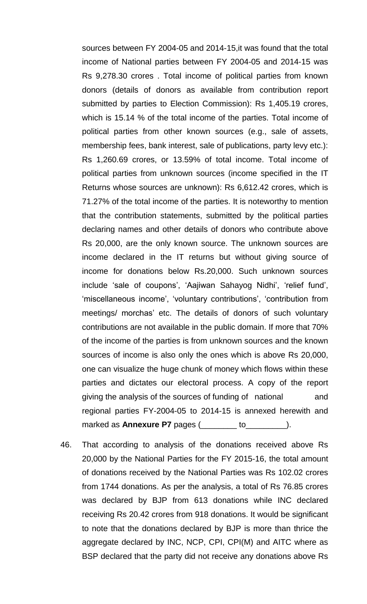sources between FY 2004-05 and 2014-15,it was found that the total income of National parties between FY 2004-05 and 2014-15 was Rs 9,278.30 crores . Total income of political parties from known donors (details of donors as available from contribution report submitted by parties to Election Commission): Rs 1,405.19 crores, which is 15.14 % of the total income of the parties. Total income of political parties from other known sources (e.g., sale of assets, membership fees, bank interest, sale of publications, party levy etc.): Rs 1,260.69 crores, or 13.59% of total income. Total income of political parties from unknown sources (income specified in the IT Returns whose sources are unknown): Rs 6,612.42 crores, which is 71.27% of the total income of the parties. It is noteworthy to mention that the contribution statements, submitted by the political parties declaring names and other details of donors who contribute above Rs 20,000, are the only known source. The unknown sources are income declared in the IT returns but without giving source of income for donations below Rs.20,000. Such unknown sources include 'sale of coupons', 'Aajiwan Sahayog Nidhi', 'relief fund', 'miscellaneous income', 'voluntary contributions', 'contribution from meetings/ morchas' etc. The details of donors of such voluntary contributions are not available in the public domain. If more that 70% of the income of the parties is from unknown sources and the known sources of income is also only the ones which is above Rs 20,000, one can visualize the huge chunk of money which flows within these parties and dictates our electoral process. A copy of the report giving the analysis of the sources of funding of national and regional parties FY-2004-05 to 2014-15 is annexed herewith and marked as **Annexure P7** pages (entitled as **Annexure P7** pages (enter to the same).

46. That according to analysis of the donations received above Rs 20,000 by the National Parties for the FY 2015-16, the total amount of donations received by the National Parties was Rs 102.02 crores from 1744 donations. As per the analysis, a total of Rs 76.85 crores was declared by BJP from 613 donations while INC declared receiving Rs 20.42 crores from 918 donations. It would be significant to note that the donations declared by BJP is more than thrice the aggregate declared by INC, NCP, CPI, CPI(M) and AITC where as BSP declared that the party did not receive any donations above Rs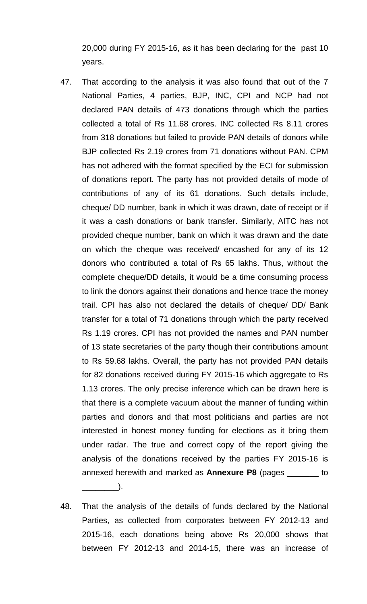20,000 during FY 2015-16, as it has been declaring for the past 10 years.

- 47. That according to the analysis it was also found that out of the 7 National Parties, 4 parties, BJP, INC, CPI and NCP had not declared PAN details of 473 donations through which the parties collected a total of Rs 11.68 crores. INC collected Rs 8.11 crores from 318 donations but failed to provide PAN details of donors while BJP collected Rs 2.19 crores from 71 donations without PAN. CPM has not adhered with the format specified by the ECI for submission of donations report. The party has not provided details of mode of contributions of any of its 61 donations. Such details include, cheque/ DD number, bank in which it was drawn, date of receipt or if it was a cash donations or bank transfer. Similarly, AITC has not provided cheque number, bank on which it was drawn and the date on which the cheque was received/ encashed for any of its 12 donors who contributed a total of Rs 65 lakhs. Thus, without the complete cheque/DD details, it would be a time consuming process to link the donors against their donations and hence trace the money trail. CPI has also not declared the details of cheque/ DD/ Bank transfer for a total of 71 donations through which the party received Rs 1.19 crores. CPI has not provided the names and PAN number of 13 state secretaries of the party though their contributions amount to Rs 59.68 lakhs. Overall, the party has not provided PAN details for 82 donations received during FY 2015-16 which aggregate to Rs 1.13 crores. The only precise inference which can be drawn here is that there is a complete vacuum about the manner of funding within parties and donors and that most politicians and parties are not interested in honest money funding for elections as it bring them under radar. The true and correct copy of the report giving the analysis of the donations received by the parties FY 2015-16 is annexed herewith and marked as **Annexure P8** (pages \_\_\_\_\_\_\_ to
- 48. That the analysis of the details of funds declared by the National Parties, as collected from corporates between FY 2012-13 and 2015-16, each donations being above Rs 20,000 shows that between FY 2012-13 and 2014-15, there was an increase of

 $\Box$ ).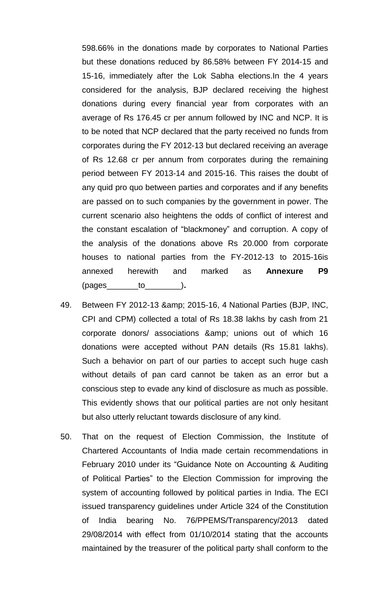598.66% in the donations made by corporates to National Parties but these donations reduced by 86.58% between FY 2014-15 and 15-16, immediately after the Lok Sabha elections.In the 4 years considered for the analysis, BJP declared receiving the highest donations during every financial year from corporates with an average of Rs 176.45 cr per annum followed by INC and NCP. It is to be noted that NCP declared that the party received no funds from corporates during the FY 2012-13 but declared receiving an average of Rs 12.68 cr per annum from corporates during the remaining period between FY 2013-14 and 2015-16. This raises the doubt of any quid pro quo between parties and corporates and if any benefits are passed on to such companies by the government in power. The current scenario also heightens the odds of conflict of interest and the constant escalation of "blackmoney" and corruption. A copy of the analysis of the donations above Rs 20.000 from corporate houses to national parties from the FY-2012-13 to 2015-16is annexed herewith and marked as **Annexure P9**  $(paqes$  to ).

- 49. Between FY 2012-13 & 2015-16, 4 National Parties (BJP, INC, CPI and CPM) collected a total of Rs 18.38 lakhs by cash from 21 corporate donors/ associations & amp; unions out of which 16 donations were accepted without PAN details (Rs 15.81 lakhs). Such a behavior on part of our parties to accept such huge cash without details of pan card cannot be taken as an error but a conscious step to evade any kind of disclosure as much as possible. This evidently shows that our political parties are not only hesitant but also utterly reluctant towards disclosure of any kind.
- 50. That on the request of Election Commission, the Institute of Chartered Accountants of India made certain recommendations in February 2010 under its "Guidance Note on Accounting & Auditing of Political Parties" to the Election Commission for improving the system of accounting followed by political parties in India. The ECI issued transparency guidelines under Article 324 of the Constitution of India bearing No. 76/PPEMS/Transparency/2013 dated 29/08/2014 with effect from 01/10/2014 stating that the accounts maintained by the treasurer of the political party shall conform to the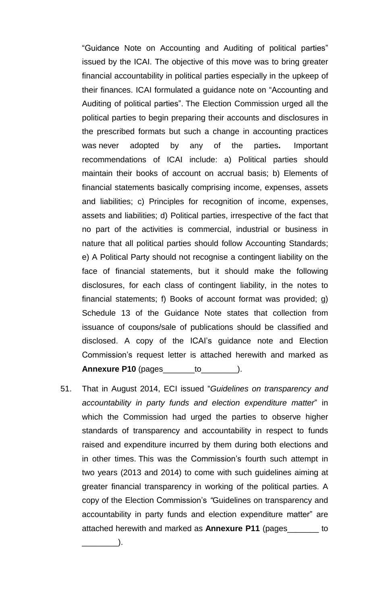"Guidance Note on Accounting and Auditing of political parties" issued by the ICAI. The objective of this move was to bring greater financial accountability in political parties especially in the upkeep of their finances. ICAI formulated a guidance note on "Accounting and Auditing of political parties". The Election Commission urged all the political parties to begin preparing their accounts and disclosures in the prescribed formats but such a change in accounting practices was never adopted by any of the parties**.** Important recommendations of ICAI include: a) Political parties should maintain their books of account on accrual basis; b) Elements of financial statements basically comprising income, expenses, assets and liabilities; c) Principles for recognition of income, expenses, assets and liabilities; d) Political parties, irrespective of the fact that no part of the activities is commercial, industrial or business in nature that all political parties should follow Accounting Standards; e) A Political Party should not recognise a contingent liability on the face of financial statements, but it should make the following disclosures, for each class of contingent liability, in the notes to financial statements; f) Books of account format was provided; g) Schedule 13 of the Guidance Note states that collection from issuance of coupons/sale of publications should be classified and disclosed. A copy of the ICAI's guidance note and Election Commission's request letter is attached herewith and marked as **Annexure P10** (pages\_\_\_\_\_\_\_to\_\_\_\_\_\_\_\_).

51. That in August 2014, ECI issued "*Guidelines on transparency and accountability in party funds and election expenditure matter*" in which the Commission had urged the parties to observe higher standards of transparency and accountability in respect to funds raised and expenditure incurred by them during both elections and in other times. This was the Commission's fourth such attempt in two years (2013 and 2014) to come with such guidelines aiming at greater financial transparency in working of the political parties. A copy of the Election Commission's *"*Guidelines on transparency and accountability in party funds and election expenditure matter" are attached herewith and marked as **Annexure P11** (pages\_\_\_\_\_\_\_ to

 $\cdot$ .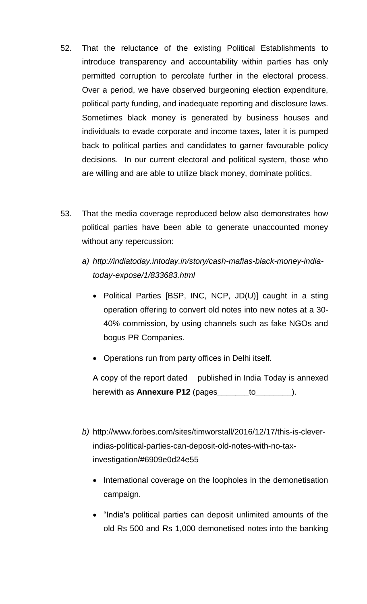- 52. That the reluctance of the existing Political Establishments to introduce transparency and accountability within parties has only permitted corruption to percolate further in the electoral process. Over a period, we have observed burgeoning election expenditure, political party funding, and inadequate reporting and disclosure laws. Sometimes black money is generated by business houses and individuals to evade corporate and income taxes, later it is pumped back to political parties and candidates to garner favourable policy decisions. In our current electoral and political system, those who are willing and are able to utilize black money, dominate politics.
- 53. That the media coverage reproduced below also demonstrates how political parties have been able to generate unaccounted money without any repercussion:
	- *a) [http://indiatoday.intoday.in/story/cash-mafias-black-money-india](http://indiatoday.intoday.in/story/cash-mafias-black-money-india-today-expose/1/833683.html)[today-expose/1/833683.html](http://indiatoday.intoday.in/story/cash-mafias-black-money-india-today-expose/1/833683.html)*
		- Political Parties [BSP, INC, NCP, JD(U)] caught in a sting operation offering to convert old notes into new notes at a 30- 40% commission, by using channels such as fake NGOs and bogus PR Companies.
		- Operations run from party offices in Delhi itself.

A copy of the report dated published in India Today is annexed herewith as **Annexure P12** (pages\_\_\_\_\_\_\_to\_\_\_\_\_\_\_\_).

- *b)* [http://www.forbes.com/sites/timworstall/2016/12/17/this-is-clever](http://www.forbes.com/sites/timworstall/2016/12/17/this-is-clever-indias-political-parties-can-deposit-old-notes-with-no-tax-investigation/#6909e0d24e55)[indias-political-parties-can-deposit-old-notes-with-no-tax](http://www.forbes.com/sites/timworstall/2016/12/17/this-is-clever-indias-political-parties-can-deposit-old-notes-with-no-tax-investigation/#6909e0d24e55)[investigation/#6909e0d24e55](http://www.forbes.com/sites/timworstall/2016/12/17/this-is-clever-indias-political-parties-can-deposit-old-notes-with-no-tax-investigation/#6909e0d24e55)
	- International coverage on the loopholes in the demonetisation campaign.
	- "India's political parties can deposit unlimited amounts of the old Rs 500 and Rs 1,000 demonetised notes into the banking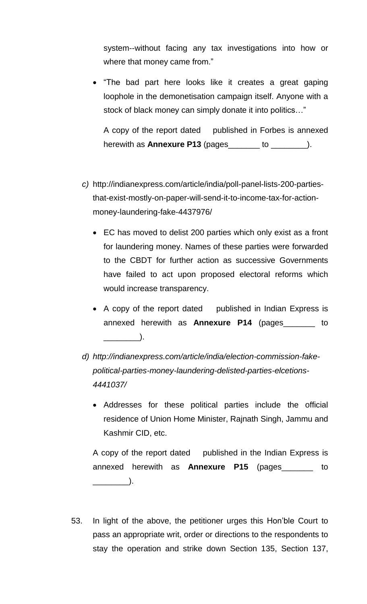system--without facing any tax investigations into how or where that money came from."

• "The bad part here looks like it creates a great gaping loophole in the demonetisation campaign itself. Anyone with a stock of black money can simply donate it into politics…"

A copy of the report dated published in Forbes is annexed herewith as **Annexure P13** (pages\_\_\_\_\_\_\_ to \_\_\_\_\_\_\_\_).

- *c)* [http://indianexpress.com/article/india/poll-panel-lists-200-parties](http://indianexpress.com/article/india/poll-panel-lists-200-parties-that-exist-mostly-on-paper-will-send-it-to-income-tax-for-action-money-laundering-fake-4437976/)[that-exist-mostly-on-paper-will-send-it-to-income-tax-for-action](http://indianexpress.com/article/india/poll-panel-lists-200-parties-that-exist-mostly-on-paper-will-send-it-to-income-tax-for-action-money-laundering-fake-4437976/)[money-laundering-fake-4437976/](http://indianexpress.com/article/india/poll-panel-lists-200-parties-that-exist-mostly-on-paper-will-send-it-to-income-tax-for-action-money-laundering-fake-4437976/)
	- EC has moved to delist 200 parties which only exist as a front for laundering money. Names of these parties were forwarded to the CBDT for further action as successive Governments have failed to act upon proposed electoral reforms which would increase transparency.
	- A copy of the report dated published in Indian Express is annexed herewith as **Annexure P14** (pages\_\_\_\_\_\_\_ to  $\qquad \qquad$  ).
- *d) [http://indianexpress.com/article/india/election-commission-fake](http://indianexpress.com/article/india/election-commission-fake-political-parties-money-laundering-delisted-parties-elcetions-4441037/)[political-parties-money-laundering-delisted-parties-elcetions-](http://indianexpress.com/article/india/election-commission-fake-political-parties-money-laundering-delisted-parties-elcetions-4441037/)[4441037/](http://indianexpress.com/article/india/election-commission-fake-political-parties-money-laundering-delisted-parties-elcetions-4441037/)*
	- Addresses for these political parties include the official residence of Union Home Minister, Rajnath Singh, Jammu and Kashmir CID, etc.

A copy of the report dated published in the Indian Express is annexed herewith as **Annexure P15** (pages\_\_\_\_\_\_\_ to  $\Box$ ).

53. In light of the above, the petitioner urges this Hon'ble Court to pass an appropriate writ, order or directions to the respondents to stay the operation and strike down Section 135, Section 137,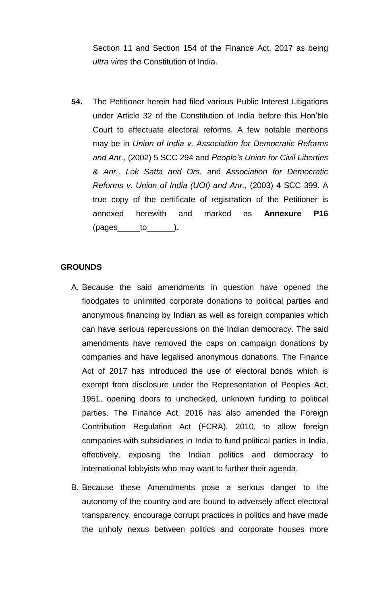Section 11 and Section 154 of the Finance Act, 2017 as being *ultra vires* the Constitution of India.

**54.** The Petitioner herein had filed various Public Interest Litigations under Article 32 of the Constitution of India before this Hon'ble Court to effectuate electoral reforms. A few notable mentions may be in *Union of India v. Association for Democratic Reforms and Anr.,* (2002) 5 SCC 294 and *People's Union for Civil Liberties & Anr., Lok Satta and Ors.* and *Association for Democratic Reforms v. Union of India (UOI) and Anr.,* (2003) 4 SCC 399. A true copy of the certificate of registration of the Petitioner is annexed herewith and marked as **Annexure P16** (pages\_\_\_\_\_to\_\_\_\_\_\_)**.**

## **GROUNDS**

- A. Because the said amendments in question have opened the floodgates to unlimited corporate donations to political parties and anonymous financing by Indian as well as foreign companies which can have serious repercussions on the Indian democracy. The said amendments have removed the caps on campaign donations by companies and have legalised anonymous donations. The Finance Act of 2017 has introduced the use of electoral bonds which is exempt from disclosure under the Representation of Peoples Act, 1951, opening doors to unchecked, unknown funding to political parties. The Finance Act, 2016 has also amended the Foreign Contribution Regulation Act (FCRA), 2010, to allow foreign companies with subsidiaries in India to fund political parties in India, effectively, exposing the Indian politics and democracy to international lobbyists who may want to further their agenda.
- B. Because these Amendments pose a serious danger to the autonomy of the country and are bound to adversely affect electoral transparency, encourage corrupt practices in politics and have made the unholy nexus between politics and corporate houses more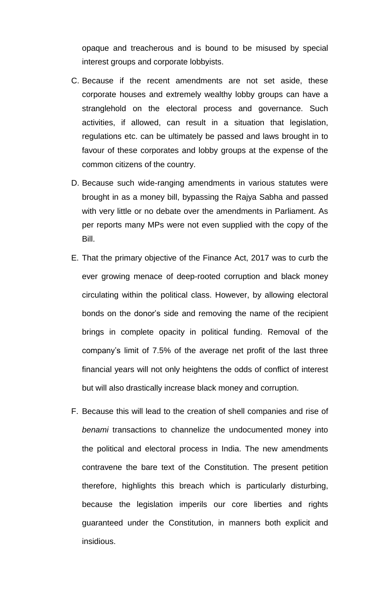opaque and treacherous and is bound to be misused by special interest groups and corporate lobbyists.

- C. Because if the recent amendments are not set aside, these corporate houses and extremely wealthy lobby groups can have a stranglehold on the electoral process and governance. Such activities, if allowed, can result in a situation that legislation, regulations etc. can be ultimately be passed and laws brought in to favour of these corporates and lobby groups at the expense of the common citizens of the country.
- D. Because such wide-ranging amendments in various statutes were brought in as a money bill, bypassing the Rajya Sabha and passed with very little or no debate over the amendments in Parliament. As per reports many MPs were not even supplied with the copy of the Bill.
- E. That the primary objective of the Finance Act, 2017 was to curb the ever growing menace of deep-rooted corruption and black money circulating within the political class. However, by allowing electoral bonds on the donor's side and removing the name of the recipient brings in complete opacity in political funding. Removal of the company's limit of 7.5% of the average net profit of the last three financial years will not only heightens the odds of conflict of interest but will also drastically increase black money and corruption.
- F. Because this will lead to the creation of shell companies and rise of *benami* transactions to channelize the undocumented money into the political and electoral process in India. The new amendments contravene the bare text of the Constitution. The present petition therefore, highlights this breach which is particularly disturbing, because the legislation imperils our core liberties and rights guaranteed under the Constitution, in manners both explicit and insidious.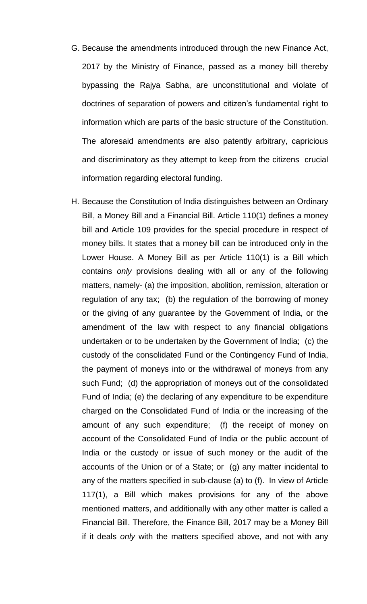- G. Because the amendments introduced through the new Finance Act, 2017 by the Ministry of Finance, passed as a money bill thereby bypassing the Rajya Sabha, are unconstitutional and violate of doctrines of separation of powers and citizen's fundamental right to information which are parts of the basic structure of the Constitution. The aforesaid amendments are also patently arbitrary, capricious and discriminatory as they attempt to keep from the citizens crucial information regarding electoral funding.
- H. Because the Constitution of India distinguishes between an Ordinary Bill, a Money Bill and a Financial Bill. Article 110(1) defines a money bill and Article 109 provides for the special procedure in respect of money bills. It states that a money bill can be introduced only in the Lower House. A Money Bill as per Article 110(1) is a Bill which contains *only* provisions dealing with all or any of the following matters, namely- (a) the imposition, abolition, remission, alteration or regulation of any tax; (b) the regulation of the borrowing of money or the giving of any guarantee by the Government of India, or the amendment of the law with respect to any financial obligations undertaken or to be undertaken by the Government of India; (c) the custody of the consolidated Fund or the Contingency Fund of India, the payment of moneys into or the withdrawal of moneys from any such Fund; (d) the appropriation of moneys out of the consolidated Fund of India; (e) the declaring of any expenditure to be expenditure charged on the Consolidated Fund of India or the increasing of the amount of any such expenditure; (f) the receipt of money on account of the Consolidated Fund of India or the public account of India or the custody or issue of such money or the audit of the accounts of the Union or of a State; or (g) any matter incidental to any of the matters specified in sub-clause (a) to (f). In view of Article 117(1), a Bill which makes provisions for any of the above mentioned matters, and additionally with any other matter is called a Financial Bill. Therefore, the Finance Bill, 2017 may be a Money Bill if it deals *only* with the matters specified above, and not with any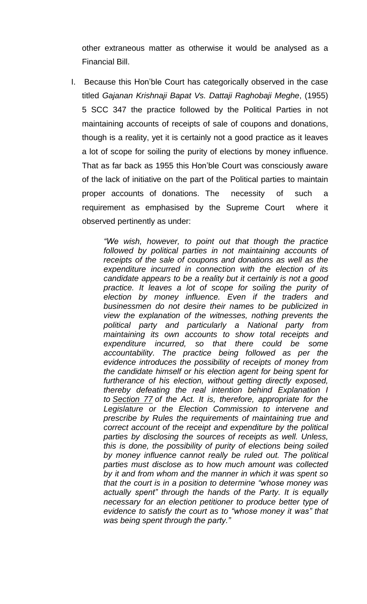other extraneous matter as otherwise it would be analysed as a Financial Bill.

I. Because this Hon'ble Court has categorically observed in the case titled *Gajanan Krishnaji Bapat Vs. Dattaji Raghobaji Meghe*, (1955) 5 SCC 347 the practice followed by the Political Parties in not maintaining accounts of receipts of sale of coupons and donations, though is a reality, yet it is certainly not a good practice as it leaves a lot of scope for soiling the purity of elections by money influence. That as far back as 1955 this Hon'ble Court was consciously aware of the lack of initiative on the part of the Political parties to maintain proper accounts of donations. The necessity of such a requirement as emphasised by the Supreme Court where it observed pertinently as under:

> *"We wish, however, to point out that though the practice followed by political parties in not maintaining accounts of receipts of the sale of coupons and donations as well as the expenditure incurred in connection with the election of its candidate appears to be a reality but it certainly is not a good practice. It leaves a lot of scope for soiling the purity of election by money influence. Even if the traders and businessmen do not desire their names to be publicized in view the explanation of the witnesses, nothing prevents the political party and particularly a National party from maintaining its own accounts to show total receipts and expenditure incurred, so that there could be some accountability. The practice being followed as per the evidence introduces the possibility of receipts of money from the candidate himself or his election agent for being spent for furtherance of his election, without getting directly exposed, thereby defeating the real intention behind Explanation I to [Section](https://indiankanoon.org/doc/1210757/) 77 of the Act. It is, therefore, appropriate for the Legislature or the Election Commission to intervene and prescribe by Rules the requirements of maintaining true and correct account of the receipt and expenditure by the political parties by disclosing the sources of receipts as well. Unless, this is done, the possibility of purity of elections being soiled by money influence cannot really be ruled out. The political parties must disclose as to how much amount was collected by it and from whom and the manner in which it was spent so that the court is in a position to determine "whose money was actually spent" through the hands of the Party. It is equally necessary for an election petitioner to produce better type of evidence to satisfy the court as to "whose money it was" that was being spent through the party."*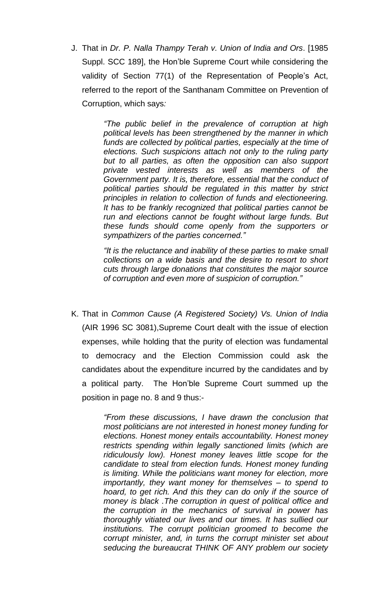J. That in *Dr. P. Nalla Thampy Terah v. Union of India and Ors*. [1985 Suppl. SCC 189], the Hon'ble Supreme Court while considering the validity of Section 77(1) of the Representation of People's Act, referred to the report of the Santhanam Committee on Prevention of Corruption, which says*:*

> *"The public belief in the prevalence of corruption at high political levels has been strengthened by the manner in which funds are collected by political parties, especially at the time of elections. Such suspicions attach not only to the ruling party but to all parties, as often the opposition can also support private vested interests as well as members of the Government party. It is, therefore, essential that the conduct of political parties should be regulated in this matter by strict principles in relation to collection of funds and electioneering. It has to be frankly recognized that political parties cannot be run and elections cannot be fought without large funds. But these funds should come openly from the supporters or sympathizers of the parties concerned."*

> *"It is the reluctance and inability of these parties to make small collections on a wide basis and the desire to resort to short cuts through large donations that constitutes the major source of corruption and even more of suspicion of corruption."*

K. That in *Common Cause (A Registered Society) Vs. Union of India* (AIR 1996 SC 3081),Supreme Court dealt with the issue of election expenses, while holding that the purity of election was fundamental to democracy and the Election Commission could ask the candidates about the expenditure incurred by the candidates and by a political party. The Hon'ble Supreme Court summed up the position in page no. 8 and 9 thus:-

> *"From these discussions, I have drawn the conclusion that most politicians are not interested in honest money funding for elections. Honest money entails accountability. Honest money restricts spending within legally sanctioned limits (which are ridiculously low). Honest money leaves little scope for the candidate to steal from election funds. Honest money funding is limiting. While the politicians want money for election, more importantly, they want money for themselves – to spend to hoard, to get rich. And this they can do only if the source of money is black .The corruption in quest of political office and the corruption in the mechanics of survival in power has thoroughly vitiated our lives and our times. It has sullied our institutions. The corrupt politician groomed to become the corrupt minister, and, in turns the corrupt minister set about seducing the bureaucrat THINK OF ANY problem our society*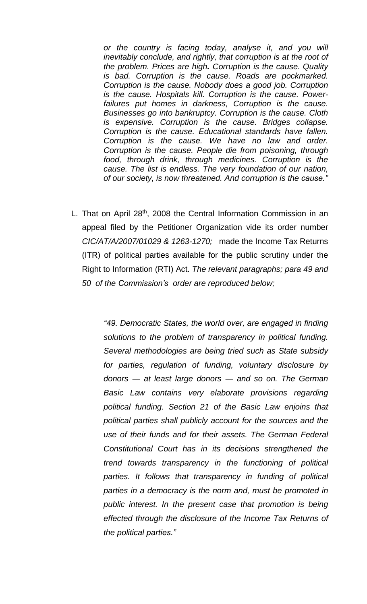*or the country is facing today, analyse it, and you will inevitably conclude, and rightly, that corruption is at the root of the problem. Prices are high. Corruption is the cause. Quality is bad. Corruption is the cause. Roads are pockmarked. Corruption is the cause. Nobody does a good job. Corruption is the cause. Hospitals kill. Corruption is the cause. Powerfailures put homes in darkness, Corruption is the cause. Businesses go into bankruptcy. Corruption is the cause. Cloth is expensive. Corruption is the cause. Bridges collapse. Corruption is the cause. Educational standards have fallen. Corruption is the cause. We have no law and order. Corruption is the cause. People die from poisoning, through food, through drink, through medicines. Corruption is the cause. The list is endless. The very foundation of our nation, of our society, is now threatened. And corruption is the cause."*

L. That on April 28<sup>th</sup>, 2008 the Central Information Commission in an appeal filed by the Petitioner Organization vide its order number *CIC/AT/A/2007/01029 & 1263-1270;* made the Income Tax Returns (ITR) of political parties available for the public scrutiny under the Right to Information (RTI) Act. *The relevant paragraphs; para 49 and 50 of the Commission's order are reproduced below;*

> *"49. Democratic States, the world over, are engaged in finding solutions to the problem of transparency in political funding. Several methodologies are being tried such as State subsidy for parties, regulation of funding, voluntary disclosure by donors ― at least large donors ― and so on. The German Basic Law contains very elaborate provisions regarding political funding. Section 21 of the Basic Law enjoins that political parties shall publicly account for the sources and the use of their funds and for their assets. The German Federal Constitutional Court has in its decisions strengthened the trend towards transparency in the functioning of political parties. It follows that transparency in funding of political parties in a democracy is the norm and, must be promoted in public interest. In the present case that promotion is being effected through the disclosure of the Income Tax Returns of the political parties."*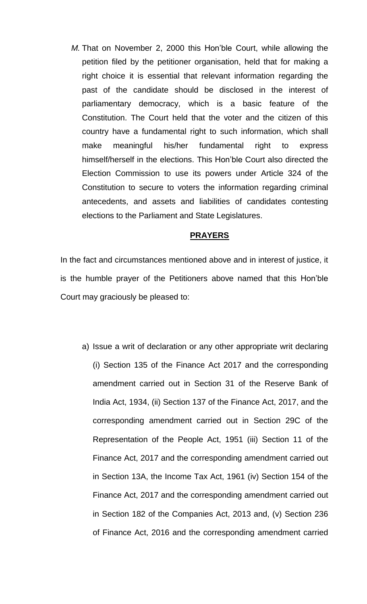*M.* That on November 2, 2000 this Hon'ble Court, while allowing the petition filed by the petitioner organisation, held that for making a right choice it is essential that relevant information regarding the past of the candidate should be disclosed in the interest of parliamentary democracy, which is a basic feature of the Constitution. The Court held that the voter and the citizen of this country have a fundamental right to such information, which shall make meaningful his/her fundamental right to express himself/herself in the elections. This Hon'ble Court also directed the Election Commission to use its powers under Article 324 of the Constitution to secure to voters the information regarding criminal antecedents, and assets and liabilities of candidates contesting elections to the Parliament and State Legislatures.

#### **PRAYERS**

In the fact and circumstances mentioned above and in interest of justice, it is the humble prayer of the Petitioners above named that this Hon'ble Court may graciously be pleased to:

a) Issue a writ of declaration or any other appropriate writ declaring (i) Section 135 of the Finance Act 2017 and the corresponding amendment carried out in Section 31 of the Reserve Bank of India Act, 1934, (ii) Section 137 of the Finance Act, 2017, and the corresponding amendment carried out in Section 29C of the Representation of the People Act, 1951 (iii) Section 11 of the Finance Act, 2017 and the corresponding amendment carried out in Section 13A, the Income Tax Act, 1961 (iv) Section 154 of the Finance Act, 2017 and the corresponding amendment carried out in Section 182 of the Companies Act, 2013 and, (v) Section 236 of Finance Act, 2016 and the corresponding amendment carried